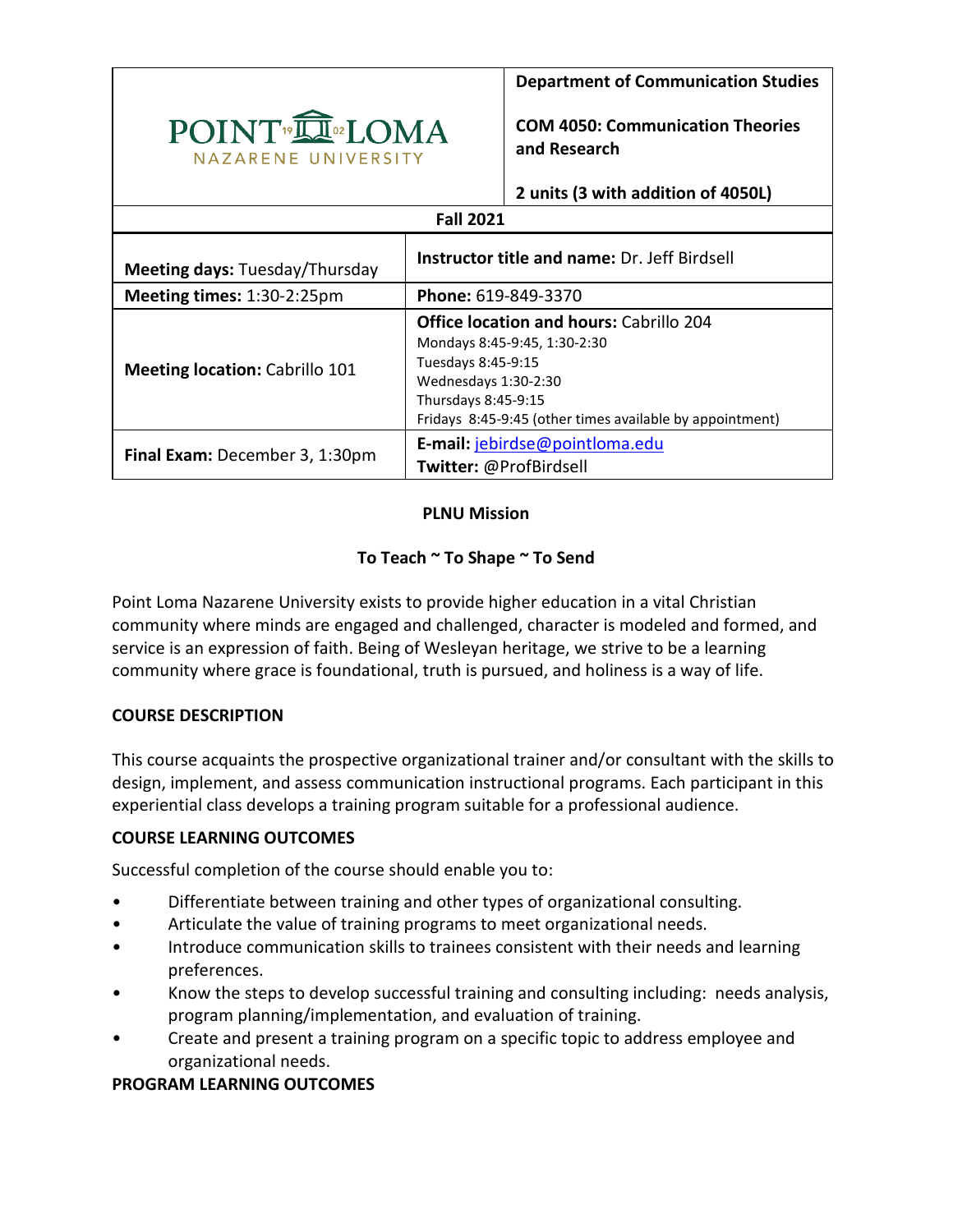

**Department of Communication Studies**

**COM 4050: Communication Theories and Research**

**2 units (3 with addition of 4050L)**

# **Fall 2021**

| Meeting days: Tuesday/Thursday        | Instructor title and name: Dr. Jeff Birdsell                                                                                                                                                                    |
|---------------------------------------|-----------------------------------------------------------------------------------------------------------------------------------------------------------------------------------------------------------------|
| Meeting times: 1:30-2:25pm            | Phone: 619-849-3370                                                                                                                                                                                             |
| <b>Meeting location: Cabrillo 101</b> | <b>Office location and hours: Cabrillo 204</b><br>Mondays 8:45-9:45, 1:30-2:30<br>Tuesdays 8:45-9:15<br>Wednesdays 1:30-2:30<br>Thursdays 8:45-9:15<br>Fridays 8:45-9:45 (other times available by appointment) |
| Final Exam: December 3, 1:30pm        | E-mail: jebirdse@pointloma.edu<br>Twitter: @ProfBirdsell                                                                                                                                                        |

# **PLNU Mission**

## **To Teach ~ To Shape ~ To Send**

Point Loma Nazarene University exists to provide higher education in a vital Christian community where minds are engaged and challenged, character is modeled and formed, and service is an expression of faith. Being of Wesleyan heritage, we strive to be a learning community where grace is foundational, truth is pursued, and holiness is a way of life.

#### **COURSE DESCRIPTION**

This course acquaints the prospective organizational trainer and/or consultant with the skills to design, implement, and assess communication instructional programs. Each participant in this experiential class develops a training program suitable for a professional audience.

#### **COURSE LEARNING OUTCOMES**

Successful completion of the course should enable you to:

- Differentiate between training and other types of organizational consulting.
- Articulate the value of training programs to meet organizational needs.
- Introduce communication skills to trainees consistent with their needs and learning preferences.
- Know the steps to develop successful training and consulting including: needs analysis, program planning/implementation, and evaluation of training.
- Create and present a training program on a specific topic to address employee and organizational needs.

# **PROGRAM LEARNING OUTCOMES**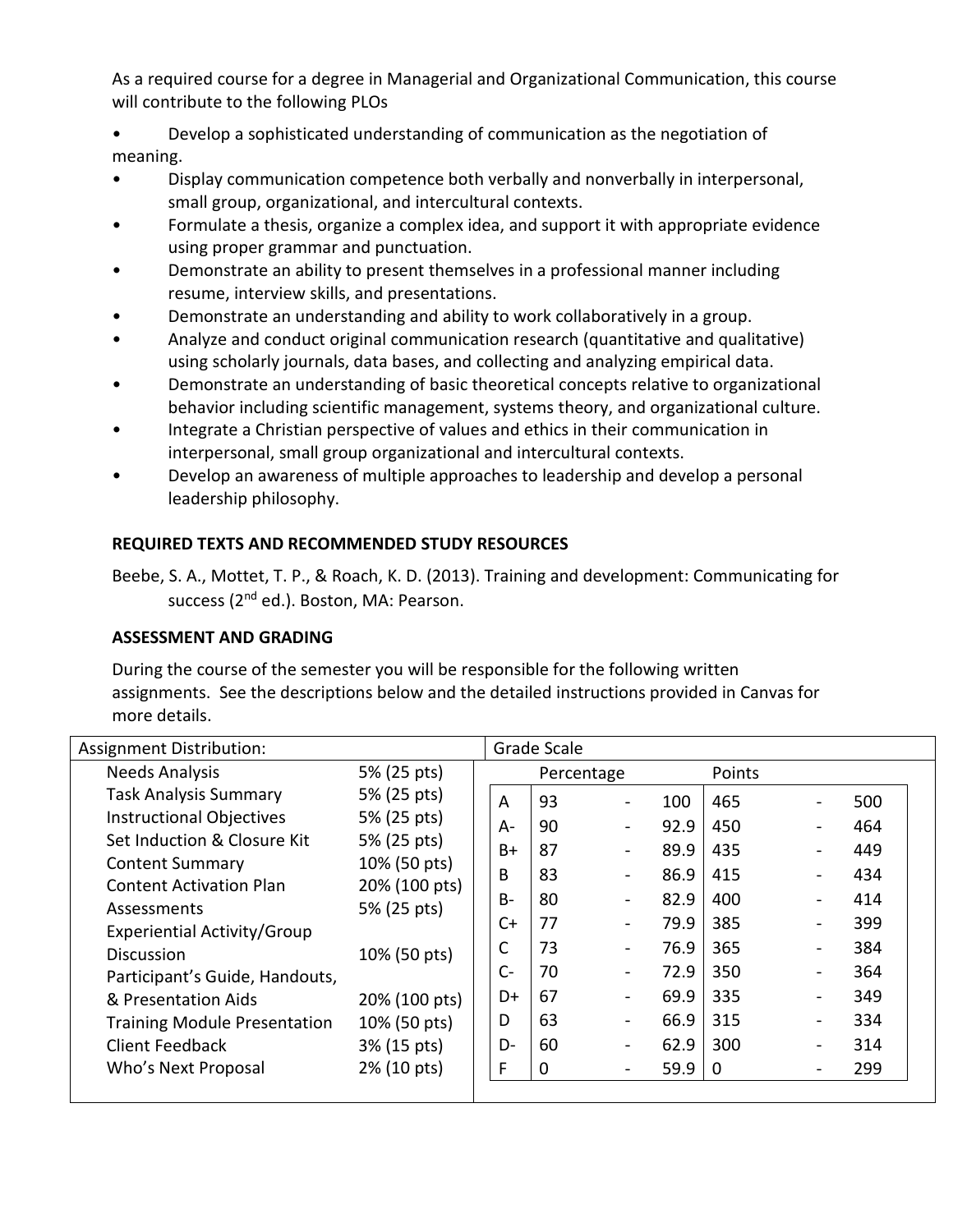As a required course for a degree in Managerial and Organizational Communication, this course will contribute to the following PLOs

• Develop a sophisticated understanding of communication as the negotiation of meaning.

- Display communication competence both verbally and nonverbally in interpersonal, small group, organizational, and intercultural contexts.
- Formulate a thesis, organize a complex idea, and support it with appropriate evidence using proper grammar and punctuation.
- Demonstrate an ability to present themselves in a professional manner including resume, interview skills, and presentations.
- Demonstrate an understanding and ability to work collaboratively in a group.
- Analyze and conduct original communication research (quantitative and qualitative) using scholarly journals, data bases, and collecting and analyzing empirical data.
- Demonstrate an understanding of basic theoretical concepts relative to organizational behavior including scientific management, systems theory, and organizational culture.
- Integrate a Christian perspective of values and ethics in their communication in interpersonal, small group organizational and intercultural contexts.
- Develop an awareness of multiple approaches to leadership and develop a personal leadership philosophy.

# **REQUIRED TEXTS AND RECOMMENDED STUDY RESOURCES**

Beebe, S. A., Mottet, T. P., & Roach, K. D. (2013). Training and development: Communicating for success (2<sup>nd</sup> ed.). Boston, MA: Pearson.

# **ASSESSMENT AND GRADING**

During the course of the semester you will be responsible for the following written assignments. See the descriptions below and the detailed instructions provided in Canvas for more details.

| <b>Assignment Distribution:</b>     |               | Grade Scale |    |                          |      |             |                          |     |
|-------------------------------------|---------------|-------------|----|--------------------------|------|-------------|--------------------------|-----|
| <b>Needs Analysis</b>               | 5% (25 pts)   |             |    | Percentage               |      | Points      |                          |     |
| <b>Task Analysis Summary</b>        | 5% (25 pts)   | A           | 93 | $\blacksquare$           | 100  | 465         |                          | 500 |
| <b>Instructional Objectives</b>     | 5% (25 pts)   | $A-$        | 90 | $\overline{\phantom{a}}$ | 92.9 | 450         | $\blacksquare$           | 464 |
| Set Induction & Closure Kit         | 5% (25 pts)   | $B+$        | 87 | $\overline{\phantom{a}}$ | 89.9 | 435         |                          | 449 |
| <b>Content Summary</b>              | 10% (50 pts)  | B           | 83 | $\overline{\phantom{a}}$ | 86.9 | 415         |                          | 434 |
| <b>Content Activation Plan</b>      | 20% (100 pts) | $B -$       | 80 | -                        | 82.9 | 400         | $\blacksquare$           | 414 |
| Assessments                         | 5% (25 pts)   | C+          | 77 | $\blacksquare$           | 79.9 | 385         | $\blacksquare$           | 399 |
| Experiential Activity/Group         |               | C           | 73 |                          | 76.9 | 365         |                          | 384 |
| Discussion                          | 10% (50 pts)  |             |    | $\blacksquare$           |      |             | $\blacksquare$           |     |
| Participant's Guide, Handouts,      |               | $C -$       | 70 | $\blacksquare$           | 72.9 | 350         | $\blacksquare$           | 364 |
| & Presentation Aids                 | 20% (100 pts) | D+          | 67 | $\overline{\phantom{a}}$ | 69.9 | 335         | $\blacksquare$           | 349 |
| <b>Training Module Presentation</b> | 10% (50 pts)  | D           | 63 | $\overline{\phantom{a}}$ | 66.9 | 315         | $\overline{\phantom{0}}$ | 334 |
| Client Feedback                     | 3% (15 pts)   | D-          | 60 | $\overline{\phantom{a}}$ | 62.9 | 300         | -                        | 314 |
| Who's Next Proposal                 | 2% (10 pts)   | F           | 0  | $\blacksquare$           | 59.9 | $\mathbf 0$ |                          | 299 |
|                                     |               |             |    |                          |      |             |                          |     |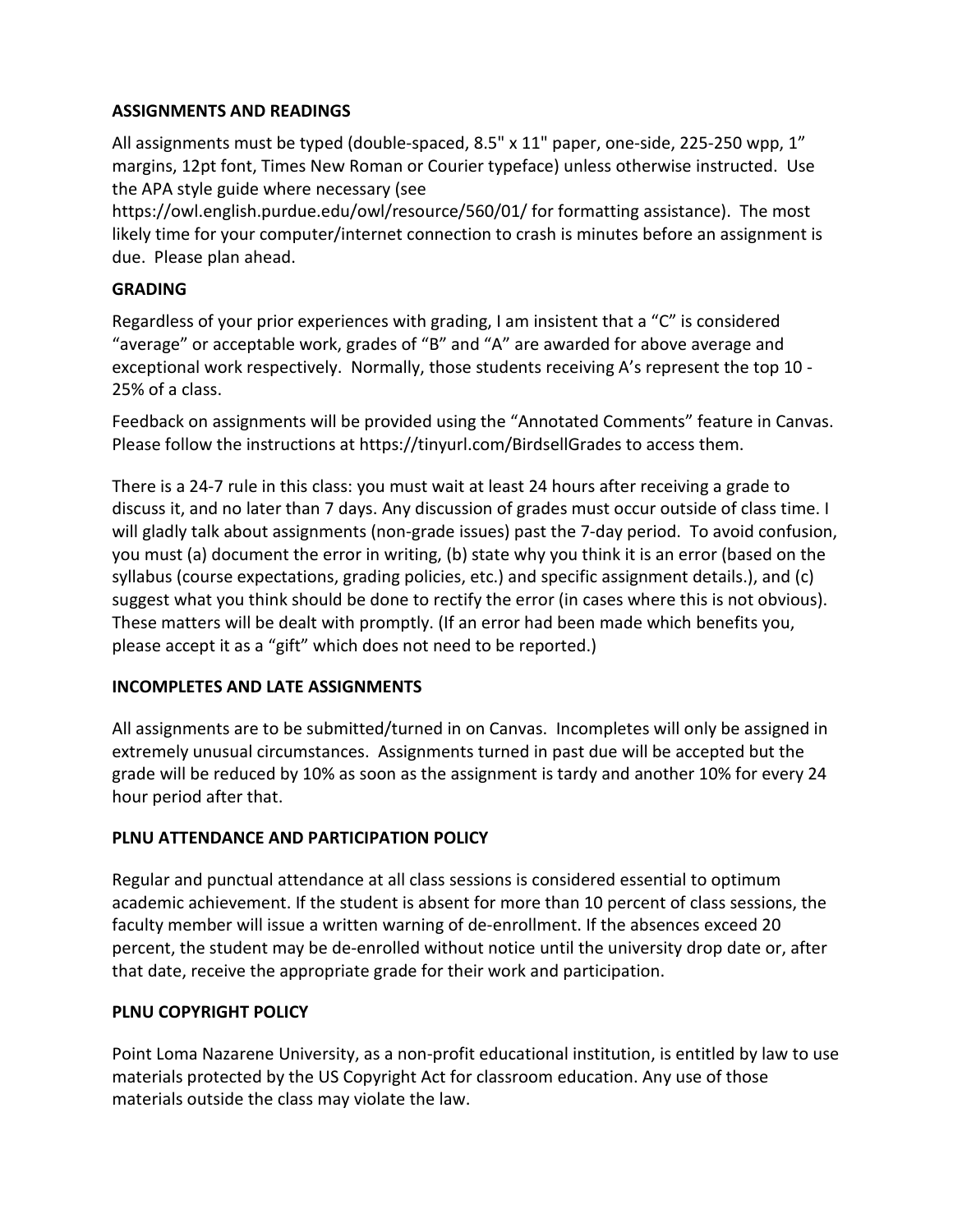# **ASSIGNMENTS AND READINGS**

All assignments must be typed (double-spaced, 8.5" x 11" paper, one-side, 225-250 wpp, 1" margins, 12pt font, Times New Roman or Courier typeface) unless otherwise instructed. Use the APA style guide where necessary (see

https://owl.english.purdue.edu/owl/resource/560/01/ for formatting assistance). The most likely time for your computer/internet connection to crash is minutes before an assignment is due. Please plan ahead.

### **GRADING**

Regardless of your prior experiences with grading, I am insistent that a "C" is considered "average" or acceptable work, grades of "B" and "A" are awarded for above average and exceptional work respectively. Normally, those students receiving A's represent the top 10 - 25% of a class.

Feedback on assignments will be provided using the "Annotated Comments" feature in Canvas. Please follow the instructions at https://tinyurl.com/BirdsellGrades to access them.

There is a 24-7 rule in this class: you must wait at least 24 hours after receiving a grade to discuss it, and no later than 7 days. Any discussion of grades must occur outside of class time. I will gladly talk about assignments (non-grade issues) past the 7-day period. To avoid confusion, you must (a) document the error in writing, (b) state why you think it is an error (based on the syllabus (course expectations, grading policies, etc.) and specific assignment details.), and (c) suggest what you think should be done to rectify the error (in cases where this is not obvious). These matters will be dealt with promptly. (If an error had been made which benefits you, please accept it as a "gift" which does not need to be reported.)

# **INCOMPLETES AND LATE ASSIGNMENTS**

All assignments are to be submitted/turned in on Canvas. Incompletes will only be assigned in extremely unusual circumstances. Assignments turned in past due will be accepted but the grade will be reduced by 10% as soon as the assignment is tardy and another 10% for every 24 hour period after that.

# **PLNU ATTENDANCE AND PARTICIPATION POLICY**

Regular and punctual attendance at all class sessions is considered essential to optimum academic achievement. If the student is absent for more than 10 percent of class sessions, the faculty member will issue a written warning of de-enrollment. If the absences exceed 20 percent, the student may be de-enrolled without notice until the university drop date or, after that date, receive the appropriate grade for their work and participation.

#### **PLNU COPYRIGHT POLICY**

Point Loma Nazarene University, as a non-profit educational institution, is entitled by law to use materials protected by the US Copyright Act for classroom education. Any use of those materials outside the class may violate the law.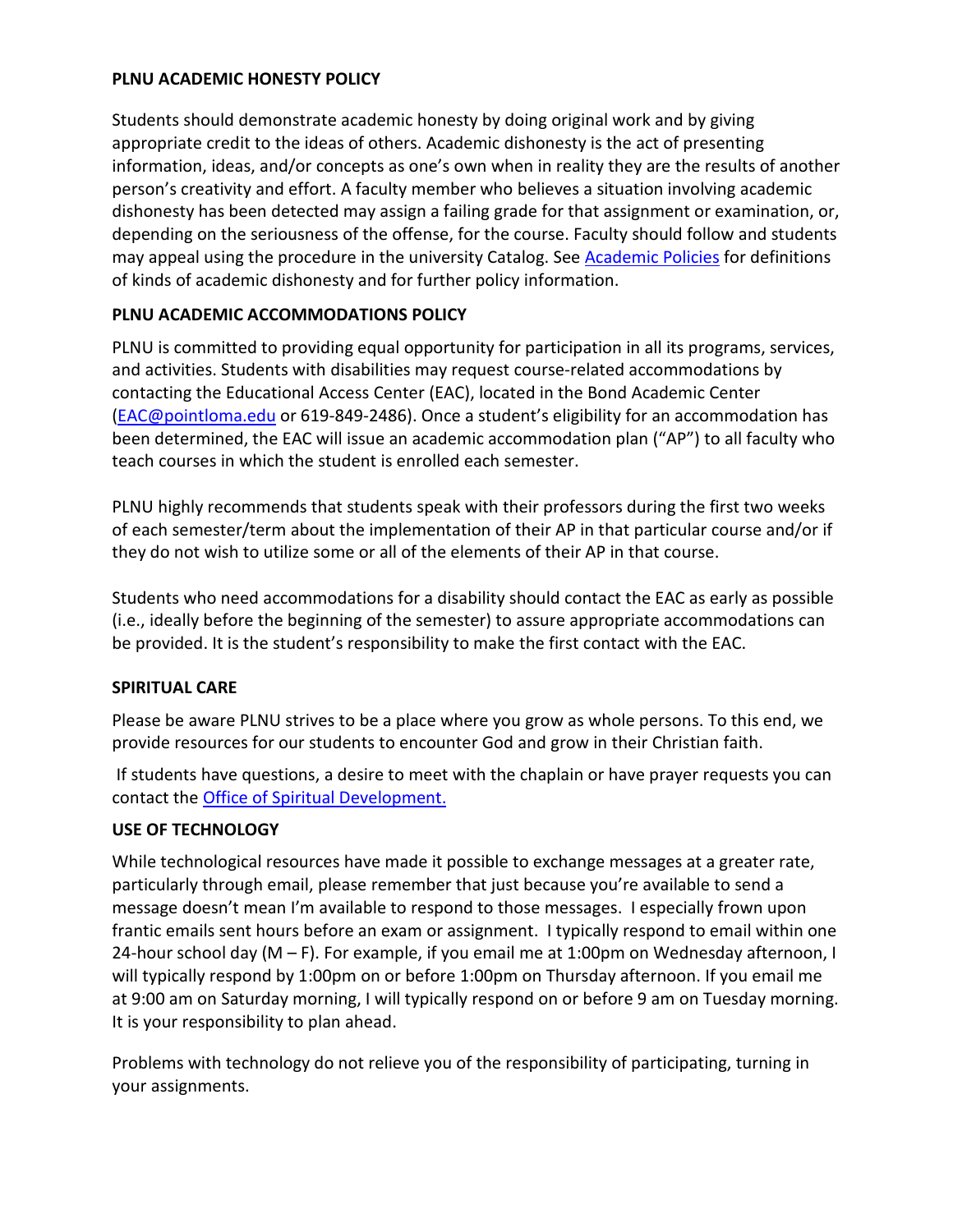#### **PLNU ACADEMIC HONESTY POLICY**

Students should demonstrate academic honesty by doing original work and by giving appropriate credit to the ideas of others. Academic dishonesty is the act of presenting information, ideas, and/or concepts as one's own when in reality they are the results of another person's creativity and effort. A faculty member who believes a situation involving academic dishonesty has been detected may assign a failing grade for that assignment or examination, or, depending on the seriousness of the offense, for the course. Faculty should follow and students may appeal using the procedure in the university Catalog. Se[e Academic Policies](https://catalog.pointloma.edu/content.php?catoid=52&navoid=2919#Academic_Honesty) for definitions of kinds of academic dishonesty and for further policy information.

## **PLNU ACADEMIC ACCOMMODATIONS POLICY**

PLNU is committed to providing equal opportunity for participation in all its programs, services, and activities. Students with disabilities may request course-related accommodations by contacting the Educational Access Center (EAC), located in the Bond Academic Center [\(EAC@pointloma.edu](mailto:EAC@pointloma.edu) or 619-849-2486). Once a student's eligibility for an accommodation has been determined, the EAC will issue an academic accommodation plan ("AP") to all faculty who teach courses in which the student is enrolled each semester.

PLNU highly recommends that students speak with their professors during the first two weeks of each semester/term about the implementation of their AP in that particular course and/or if they do not wish to utilize some or all of the elements of their AP in that course.

Students who need accommodations for a disability should contact the EAC as early as possible (i.e., ideally before the beginning of the semester) to assure appropriate accommodations can be provided. It is the student's responsibility to make the first contact with the EAC.

#### **SPIRITUAL CARE**

Please be aware PLNU strives to be a place where you grow as whole persons. To this end, we provide resources for our students to encounter God and grow in their Christian faith.

If students have questions, a desire to meet with the chaplain or have prayer requests you can contact the Office of Spiritual Development.

# **USE OF TECHNOLOGY**

While technological resources have made it possible to exchange messages at a greater rate, particularly through email, please remember that just because you're available to send a message doesn't mean I'm available to respond to those messages. I especially frown upon frantic emails sent hours before an exam or assignment. I typically respond to email within one 24-hour school day (M – F). For example, if you email me at 1:00pm on Wednesday afternoon, I will typically respond by 1:00pm on or before 1:00pm on Thursday afternoon. If you email me at 9:00 am on Saturday morning, I will typically respond on or before 9 am on Tuesday morning. It is your responsibility to plan ahead.

Problems with technology do not relieve you of the responsibility of participating, turning in your assignments.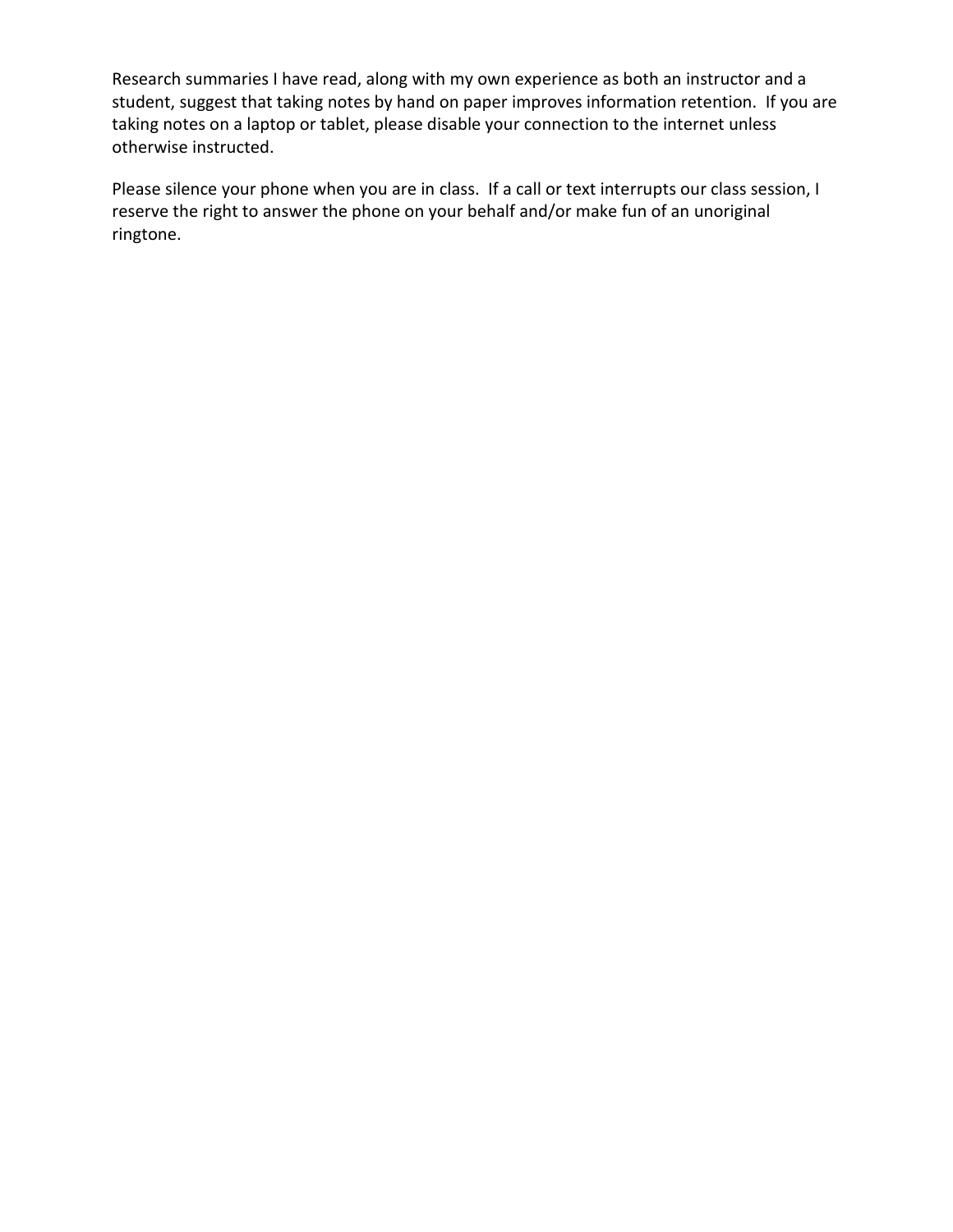Research summaries I have read, along with my own experience as both an instructor and a student, suggest that taking notes by hand on paper improves information retention. If you are taking notes on a laptop or tablet, please disable your connection to the internet unless otherwise instructed.

Please silence your phone when you are in class. If a call or text interrupts our class session, I reserve the right to answer the phone on your behalf and/or make fun of an unoriginal ringtone.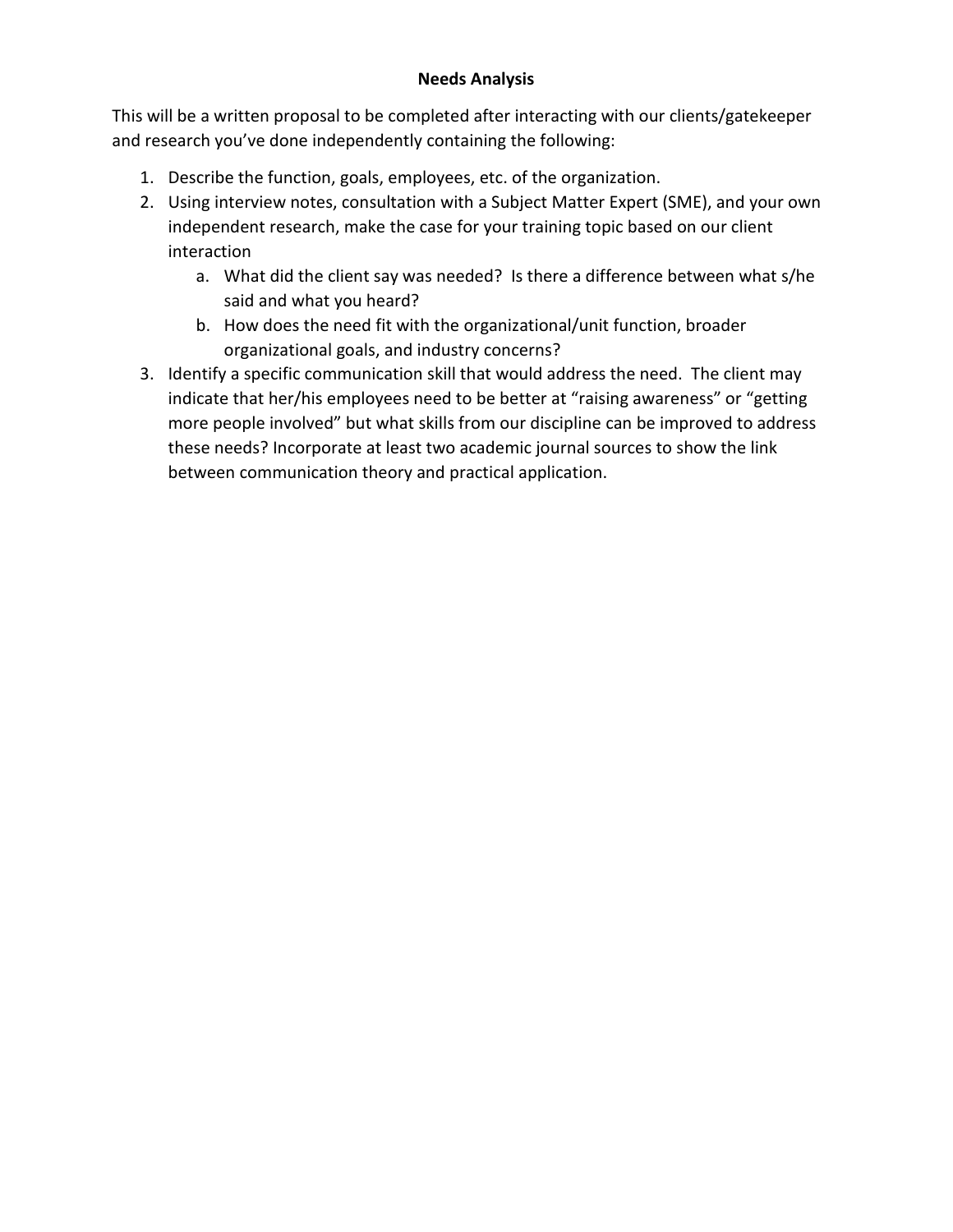## **Needs Analysis**

This will be a written proposal to be completed after interacting with our clients/gatekeeper and research you've done independently containing the following:

- 1. Describe the function, goals, employees, etc. of the organization.
- 2. Using interview notes, consultation with a Subject Matter Expert (SME), and your own independent research, make the case for your training topic based on our client interaction
	- a. What did the client say was needed? Is there a difference between what s/he said and what you heard?
	- b. How does the need fit with the organizational/unit function, broader organizational goals, and industry concerns?
- 3. Identify a specific communication skill that would address the need. The client may indicate that her/his employees need to be better at "raising awareness" or "getting more people involved" but what skills from our discipline can be improved to address these needs? Incorporate at least two academic journal sources to show the link between communication theory and practical application.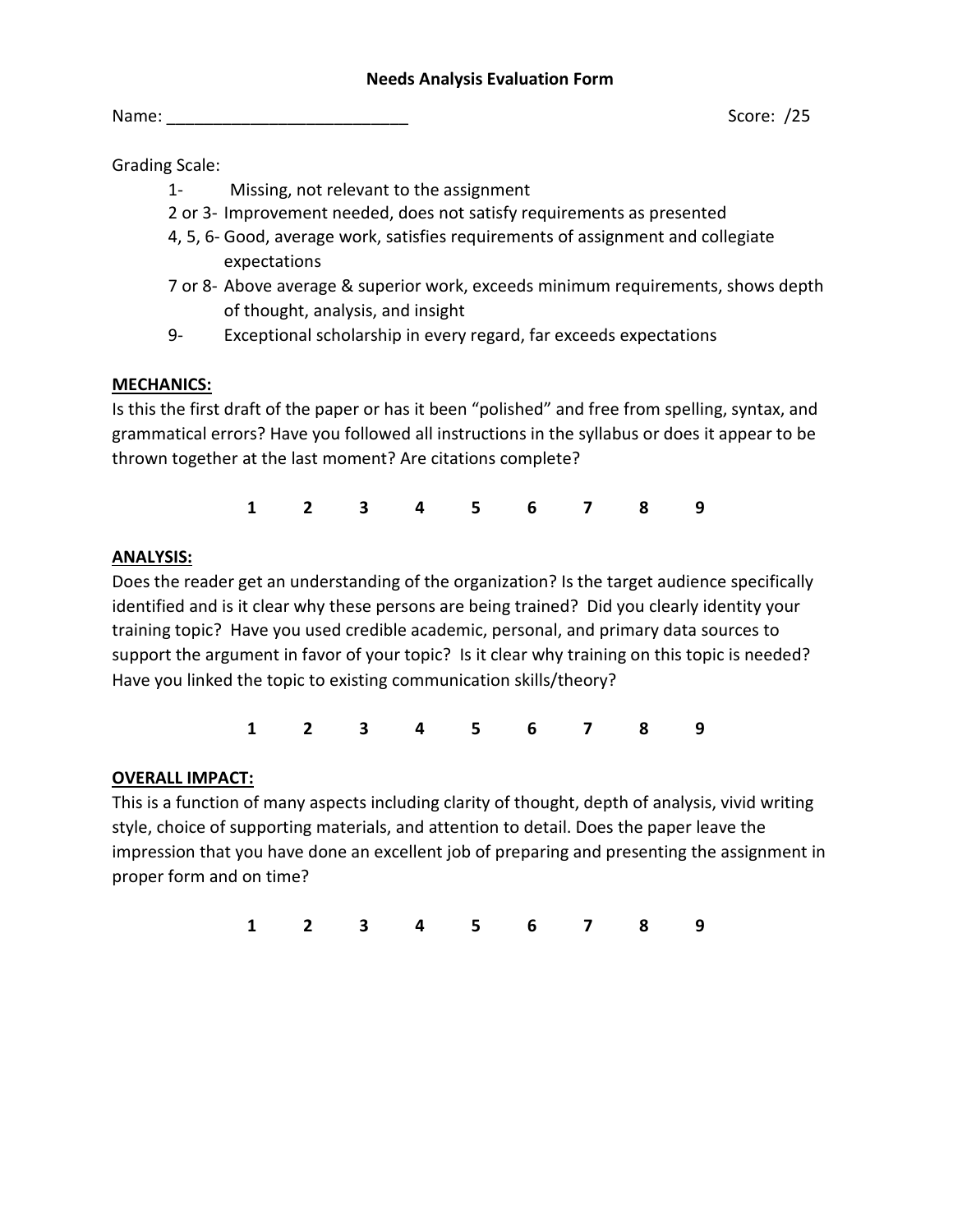Grading Scale:

- 1- Missing, not relevant to the assignment
- 2 or 3- Improvement needed, does not satisfy requirements as presented
- 4, 5, 6- Good, average work, satisfies requirements of assignment and collegiate expectations
- 7 or 8- Above average & superior work, exceeds minimum requirements, shows depth of thought, analysis, and insight
- 9- Exceptional scholarship in every regard, far exceeds expectations

# **MECHANICS:**

Is this the first draft of the paper or has it been "polished" and free from spelling, syntax, and grammatical errors? Have you followed all instructions in the syllabus or does it appear to be thrown together at the last moment? Are citations complete?

**1 2 3 4 5 6 7 8 9**

# **ANALYSIS:**

Does the reader get an understanding of the organization? Is the target audience specifically identified and is it clear why these persons are being trained? Did you clearly identity your training topic? Have you used credible academic, personal, and primary data sources to support the argument in favor of your topic? Is it clear why training on this topic is needed? Have you linked the topic to existing communication skills/theory?

**1 2 3 4 5 6 7 8 9**

# **OVERALL IMPACT:**

This is a function of many aspects including clarity of thought, depth of analysis, vivid writing style, choice of supporting materials, and attention to detail. Does the paper leave the impression that you have done an excellent job of preparing and presenting the assignment in proper form and on time?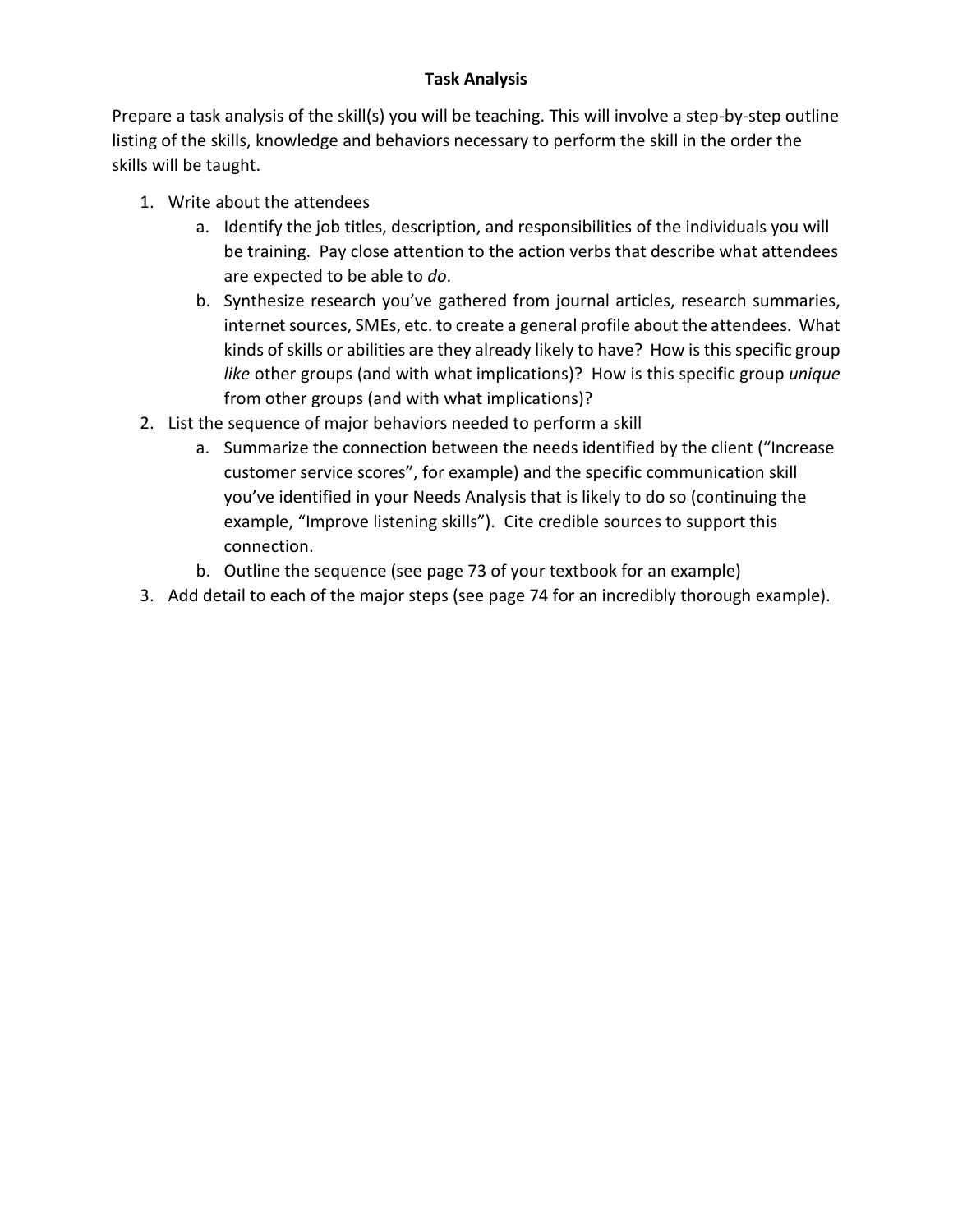# **Task Analysis**

Prepare a task analysis of the skill(s) you will be teaching. This will involve a step-by-step outline listing of the skills, knowledge and behaviors necessary to perform the skill in the order the skills will be taught.

- 1. Write about the attendees
	- a. Identify the job titles, description, and responsibilities of the individuals you will be training. Pay close attention to the action verbs that describe what attendees are expected to be able to *do*.
	- b. Synthesize research you've gathered from journal articles, research summaries, internet sources, SMEs, etc. to create a general profile about the attendees. What kinds of skills or abilities are they already likely to have? How is this specific group *like* other groups (and with what implications)? How is this specific group *unique* from other groups (and with what implications)?
- 2. List the sequence of major behaviors needed to perform a skill
	- a. Summarize the connection between the needs identified by the client ("Increase customer service scores", for example) and the specific communication skill you've identified in your Needs Analysis that is likely to do so (continuing the example, "Improve listening skills"). Cite credible sources to support this connection.
	- b. Outline the sequence (see page 73 of your textbook for an example)
- 3. Add detail to each of the major steps (see page 74 for an incredibly thorough example).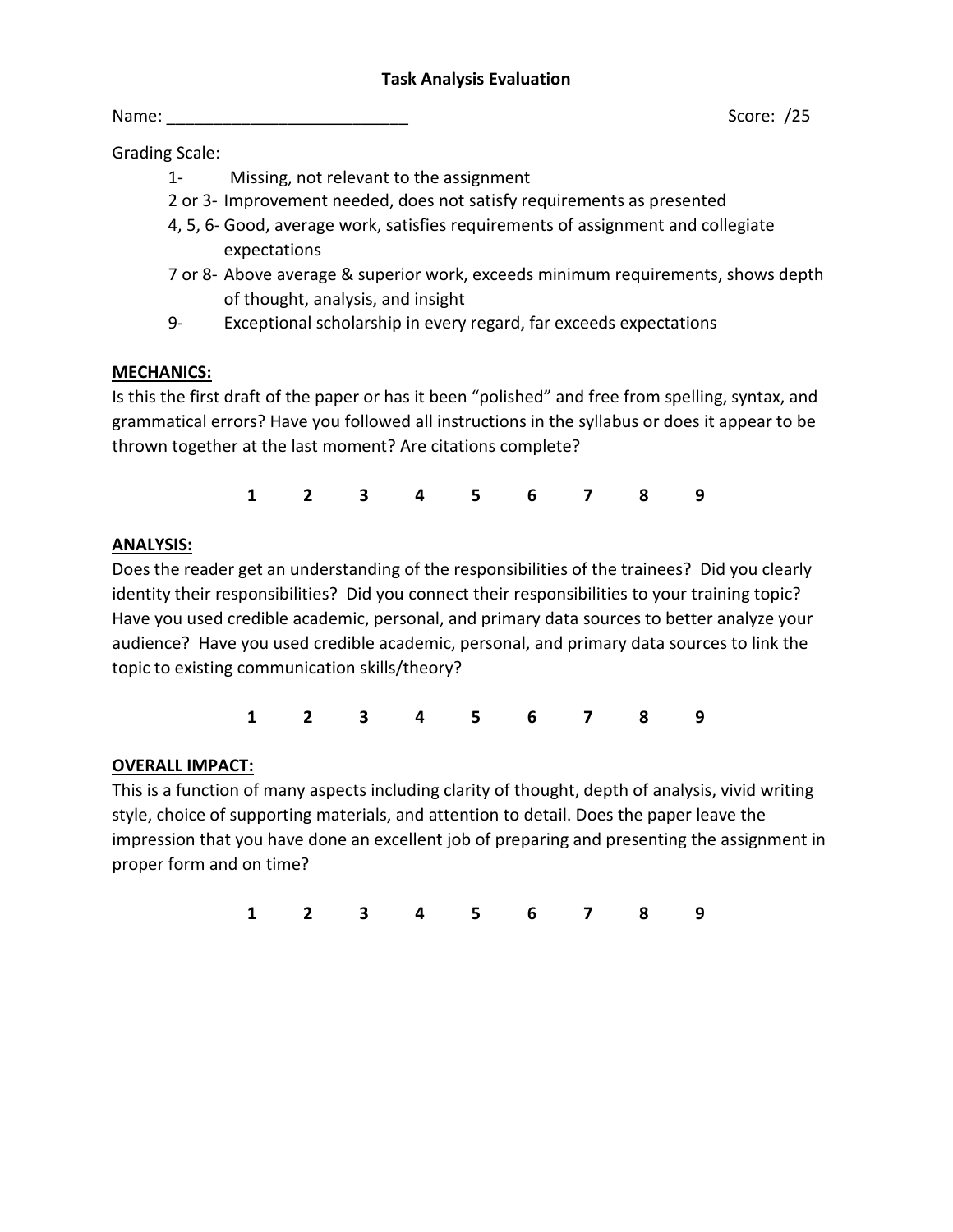Name: \_\_\_\_\_\_\_\_\_\_\_\_\_\_\_\_\_\_\_\_\_\_\_\_\_\_ Score: /25

Grading Scale:

- 1- Missing, not relevant to the assignment
- 2 or 3- Improvement needed, does not satisfy requirements as presented
- 4, 5, 6- Good, average work, satisfies requirements of assignment and collegiate expectations
- 7 or 8- Above average & superior work, exceeds minimum requirements, shows depth of thought, analysis, and insight
- 9- Exceptional scholarship in every regard, far exceeds expectations

# **MECHANICS:**

Is this the first draft of the paper or has it been "polished" and free from spelling, syntax, and grammatical errors? Have you followed all instructions in the syllabus or does it appear to be thrown together at the last moment? Are citations complete?

**1 2 3 4 5 6 7 8 9**

# **ANALYSIS:**

Does the reader get an understanding of the responsibilities of the trainees? Did you clearly identity their responsibilities? Did you connect their responsibilities to your training topic? Have you used credible academic, personal, and primary data sources to better analyze your audience? Have you used credible academic, personal, and primary data sources to link the topic to existing communication skills/theory?

**1 2 3 4 5 6 7 8 9**

# **OVERALL IMPACT:**

This is a function of many aspects including clarity of thought, depth of analysis, vivid writing style, choice of supporting materials, and attention to detail. Does the paper leave the impression that you have done an excellent job of preparing and presenting the assignment in proper form and on time?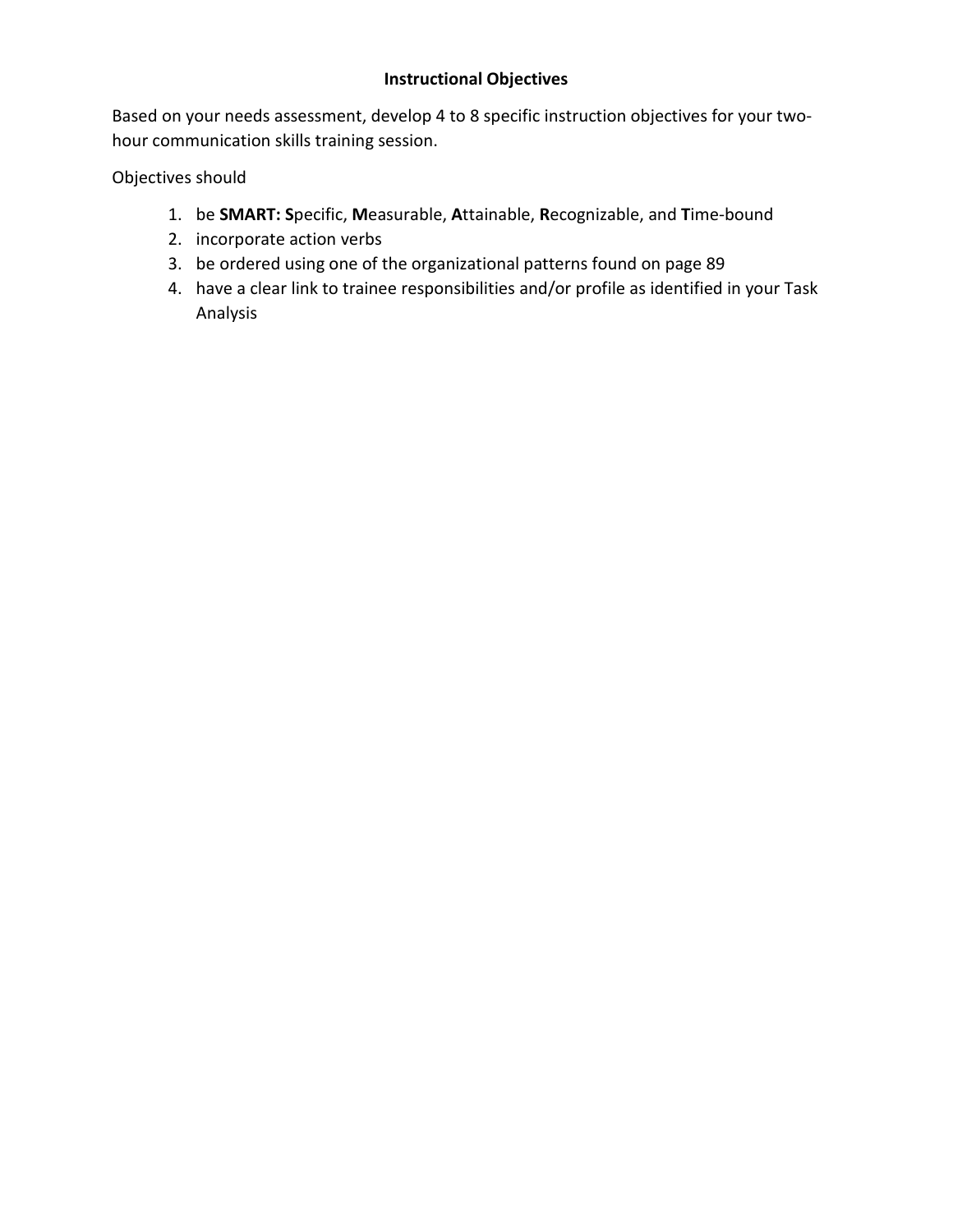# **Instructional Objectives**

Based on your needs assessment, develop 4 to 8 specific instruction objectives for your twohour communication skills training session.

Objectives should

- 1. be **SMART: S**pecific, **M**easurable, **A**ttainable, **R**ecognizable, and **T**ime-bound
- 2. incorporate action verbs
- 3. be ordered using one of the organizational patterns found on page 89
- 4. have a clear link to trainee responsibilities and/or profile as identified in your Task Analysis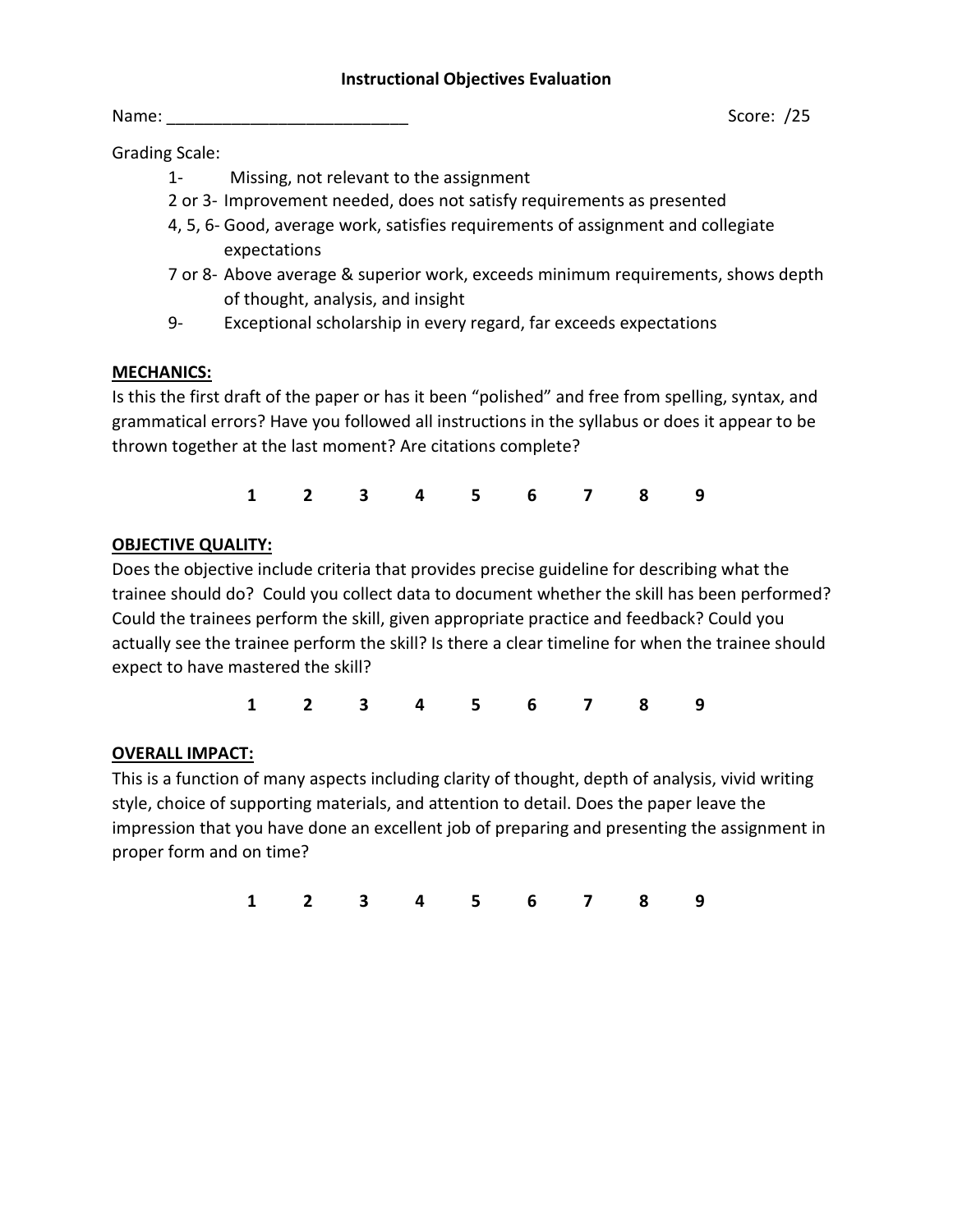Grading Scale:

- 1- Missing, not relevant to the assignment
- 2 or 3- Improvement needed, does not satisfy requirements as presented
- 4, 5, 6- Good, average work, satisfies requirements of assignment and collegiate expectations
- 7 or 8- Above average & superior work, exceeds minimum requirements, shows depth of thought, analysis, and insight
- 9- Exceptional scholarship in every regard, far exceeds expectations

# **MECHANICS:**

Is this the first draft of the paper or has it been "polished" and free from spelling, syntax, and grammatical errors? Have you followed all instructions in the syllabus or does it appear to be thrown together at the last moment? Are citations complete?

**1 2 3 4 5 6 7 8 9**

# **OBJECTIVE QUALITY:**

Does the objective include criteria that provides precise guideline for describing what the trainee should do? Could you collect data to document whether the skill has been performed? Could the trainees perform the skill, given appropriate practice and feedback? Could you actually see the trainee perform the skill? Is there a clear timeline for when the trainee should expect to have mastered the skill?

**1 2 3 4 5 6 7 8 9**

# **OVERALL IMPACT:**

This is a function of many aspects including clarity of thought, depth of analysis, vivid writing style, choice of supporting materials, and attention to detail. Does the paper leave the impression that you have done an excellent job of preparing and presenting the assignment in proper form and on time?

**1 2 3 4 5 6 7 8 9**

Name: \_\_\_\_\_\_\_\_\_\_\_\_\_\_\_\_\_\_\_\_\_\_\_\_\_\_ Score: /25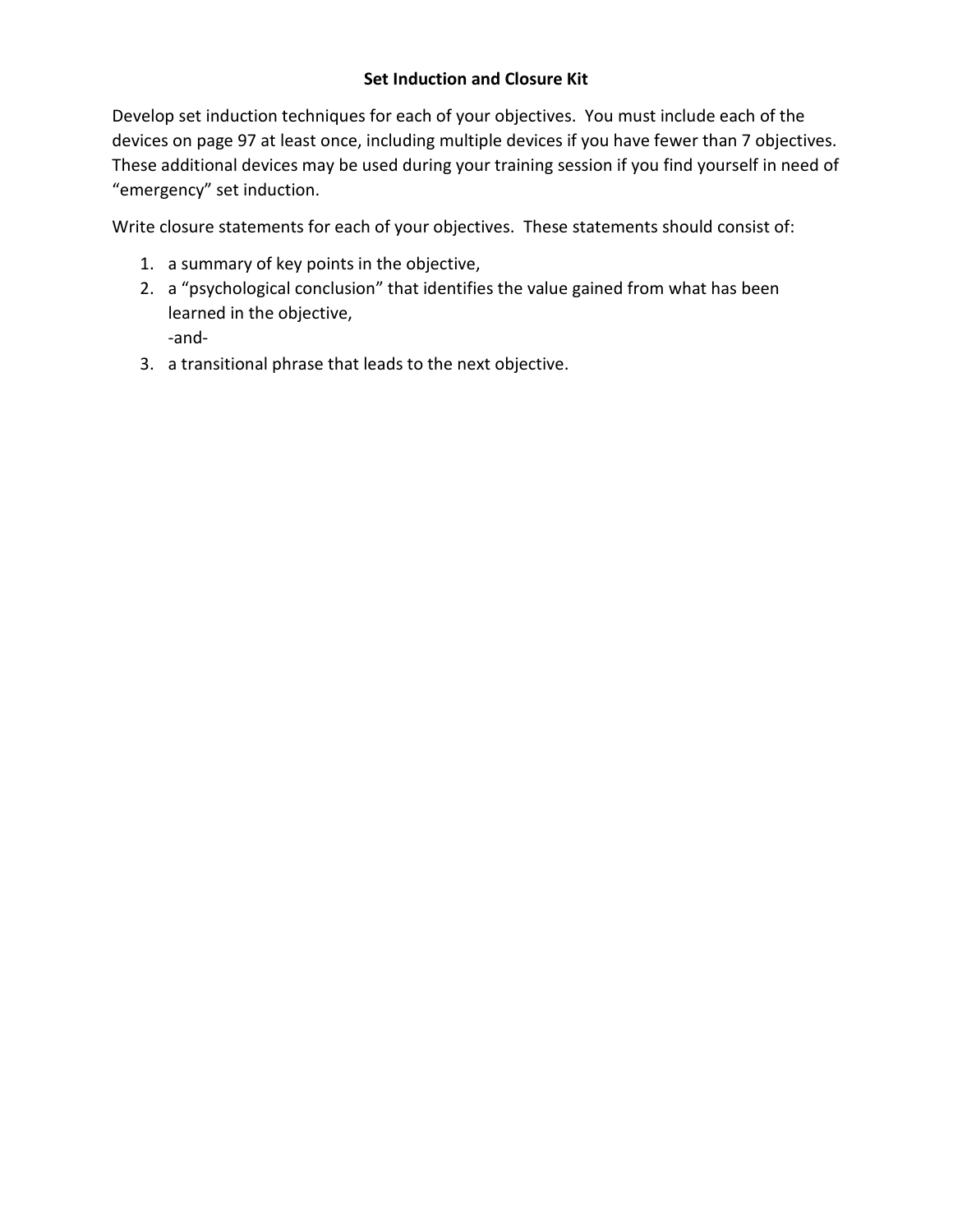Develop set induction techniques for each of your objectives. You must include each of the devices on page 97 at least once, including multiple devices if you have fewer than 7 objectives. These additional devices may be used during your training session if you find yourself in need of "emergency" set induction.

Write closure statements for each of your objectives. These statements should consist of:

- 1. a summary of key points in the objective,
- 2. a "psychological conclusion" that identifies the value gained from what has been learned in the objective, -and-
- 3. a transitional phrase that leads to the next objective.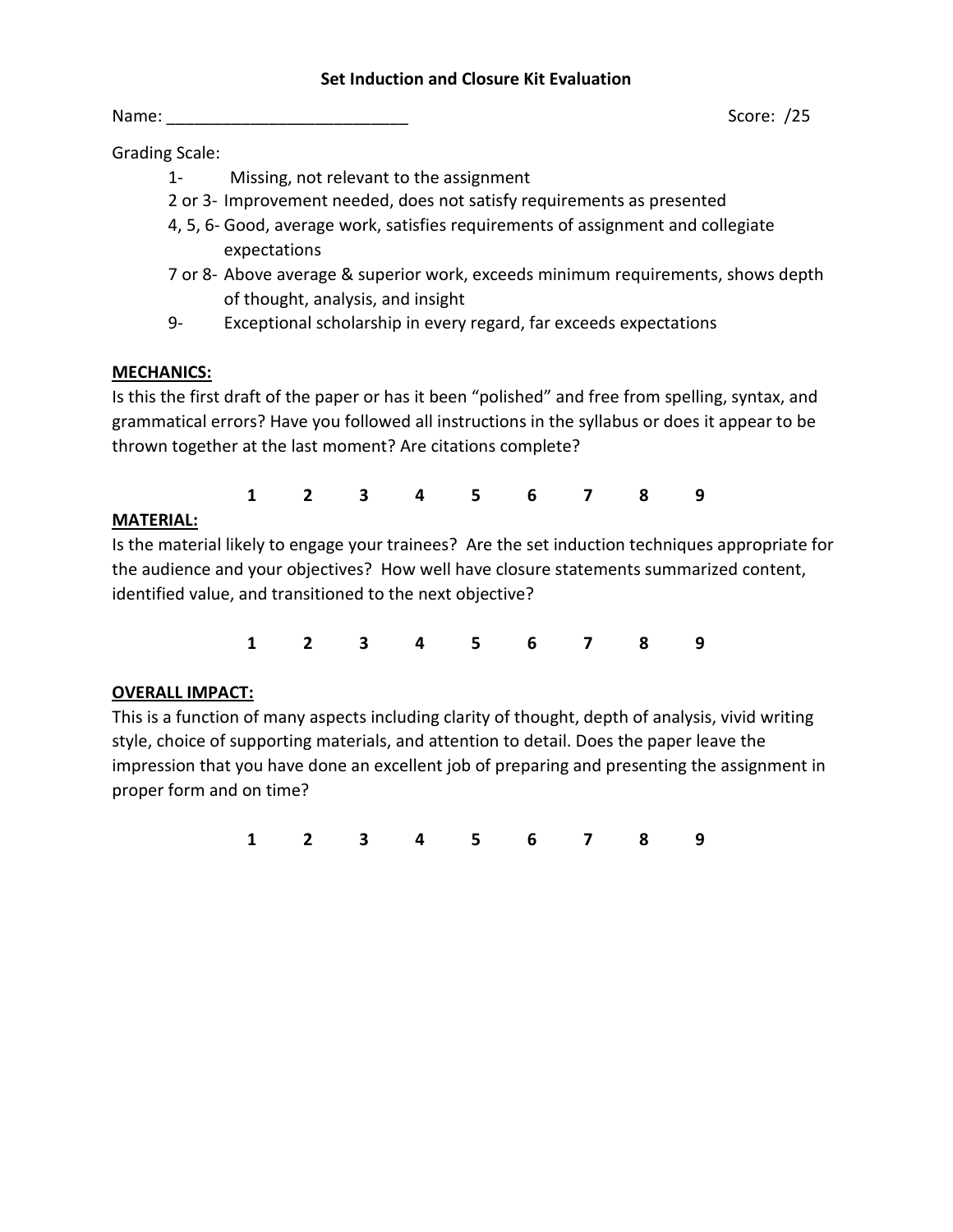#### **Set Induction and Closure Kit Evaluation**

Grading Scale:

- 1- Missing, not relevant to the assignment
- 2 or 3- Improvement needed, does not satisfy requirements as presented
- 4, 5, 6- Good, average work, satisfies requirements of assignment and collegiate expectations
- 7 or 8- Above average & superior work, exceeds minimum requirements, shows depth of thought, analysis, and insight
- 9- Exceptional scholarship in every regard, far exceeds expectations

## **MECHANICS:**

Is this the first draft of the paper or has it been "polished" and free from spelling, syntax, and grammatical errors? Have you followed all instructions in the syllabus or does it appear to be thrown together at the last moment? Are citations complete?

|         |  |  | 1 2 3 4 5 6 7 8 9 |  |  |
|---------|--|--|-------------------|--|--|
| I A I • |  |  |                   |  |  |

## **MATERIAL:**

Is the material likely to engage your trainees? Are the set induction techniques appropriate for the audience and your objectives? How well have closure statements summarized content, identified value, and transitioned to the next objective?

**1 2 3 4 5 6 7 8 9**

# **OVERALL IMPACT:**

This is a function of many aspects including clarity of thought, depth of analysis, vivid writing style, choice of supporting materials, and attention to detail. Does the paper leave the impression that you have done an excellent job of preparing and presenting the assignment in proper form and on time?

**1 2 3 4 5 6 7 8 9**

Name: \_\_\_\_\_\_\_\_\_\_\_\_\_\_\_\_\_\_\_\_\_\_\_\_\_\_ Score: /25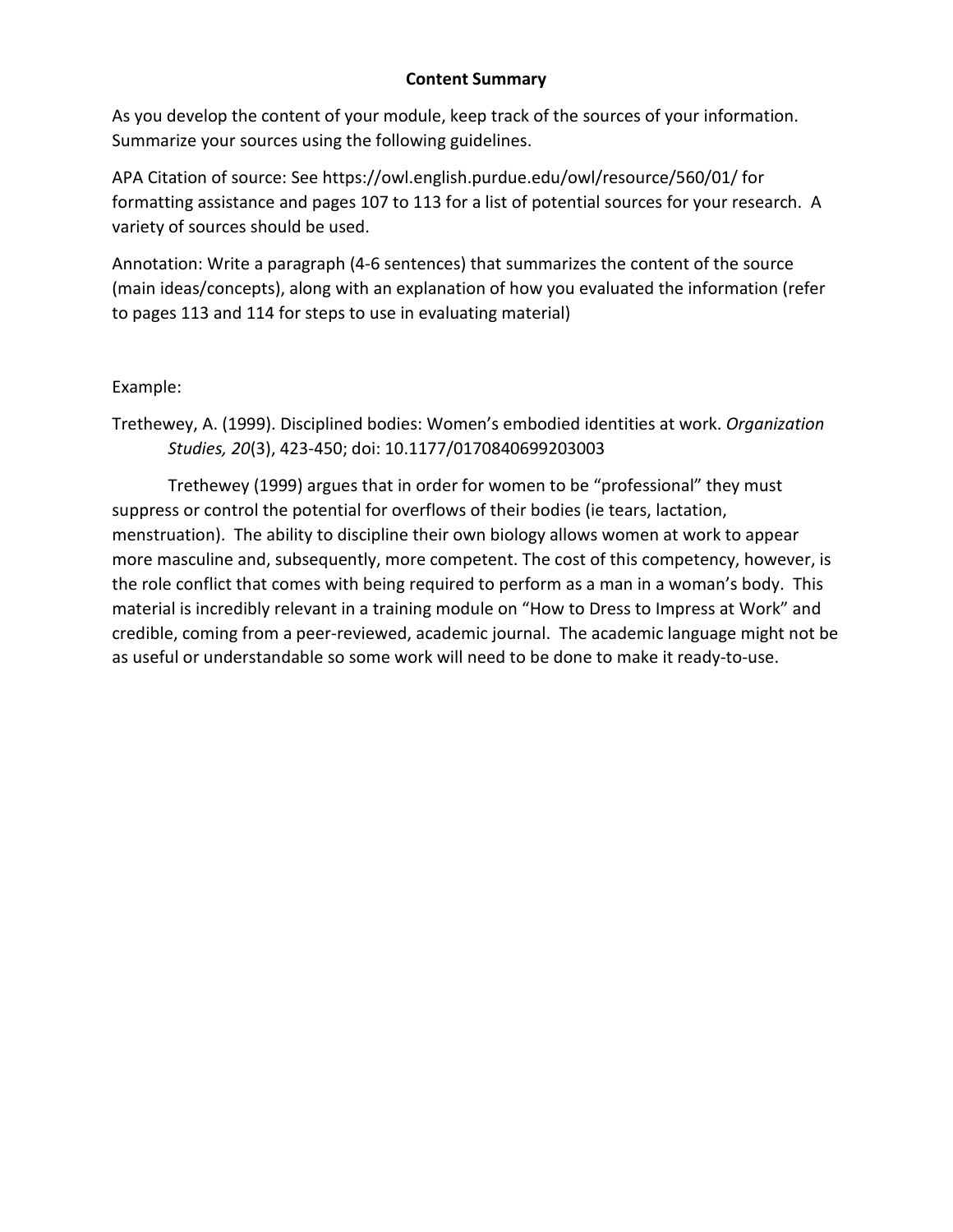## **Content Summary**

As you develop the content of your module, keep track of the sources of your information. Summarize your sources using the following guidelines.

APA Citation of source: See https://owl.english.purdue.edu/owl/resource/560/01/ for formatting assistance and pages 107 to 113 for a list of potential sources for your research. A variety of sources should be used.

Annotation: Write a paragraph (4-6 sentences) that summarizes the content of the source (main ideas/concepts), along with an explanation of how you evaluated the information (refer to pages 113 and 114 for steps to use in evaluating material)

## Example:

Trethewey, A. (1999). Disciplined bodies: Women's embodied identities at work. *Organization Studies, 20*(3), 423-450; doi: 10.1177/0170840699203003

Trethewey (1999) argues that in order for women to be "professional" they must suppress or control the potential for overflows of their bodies (ie tears, lactation, menstruation). The ability to discipline their own biology allows women at work to appear more masculine and, subsequently, more competent. The cost of this competency, however, is the role conflict that comes with being required to perform as a man in a woman's body. This material is incredibly relevant in a training module on "How to Dress to Impress at Work" and credible, coming from a peer-reviewed, academic journal. The academic language might not be as useful or understandable so some work will need to be done to make it ready-to-use.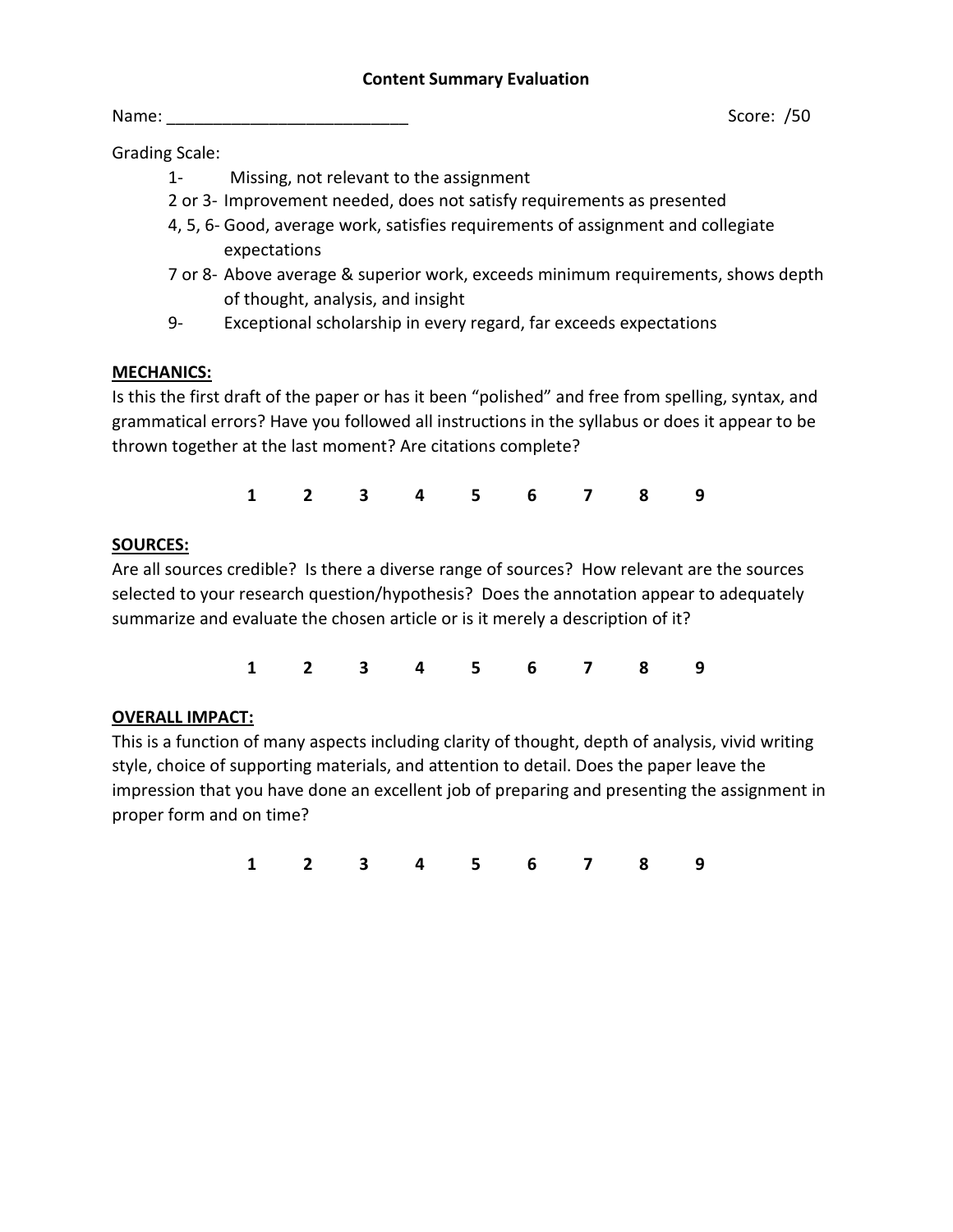Name: \_\_\_\_\_\_\_\_\_\_\_\_\_\_\_\_\_\_\_\_\_\_\_\_\_\_ Score: /50

Grading Scale:

- 1- Missing, not relevant to the assignment
- 2 or 3- Improvement needed, does not satisfy requirements as presented
- 4, 5, 6- Good, average work, satisfies requirements of assignment and collegiate expectations
- 7 or 8- Above average & superior work, exceeds minimum requirements, shows depth of thought, analysis, and insight
- 9- Exceptional scholarship in every regard, far exceeds expectations

# **MECHANICS:**

Is this the first draft of the paper or has it been "polished" and free from spelling, syntax, and grammatical errors? Have you followed all instructions in the syllabus or does it appear to be thrown together at the last moment? Are citations complete?

**1 2 3 4 5 6 7 8 9**

# **SOURCES:**

Are all sources credible? Is there a diverse range of sources? How relevant are the sources selected to your research question/hypothesis? Does the annotation appear to adequately summarize and evaluate the chosen article or is it merely a description of it?

**1 2 3 4 5 6 7 8 9**

# **OVERALL IMPACT:**

This is a function of many aspects including clarity of thought, depth of analysis, vivid writing style, choice of supporting materials, and attention to detail. Does the paper leave the impression that you have done an excellent job of preparing and presenting the assignment in proper form and on time?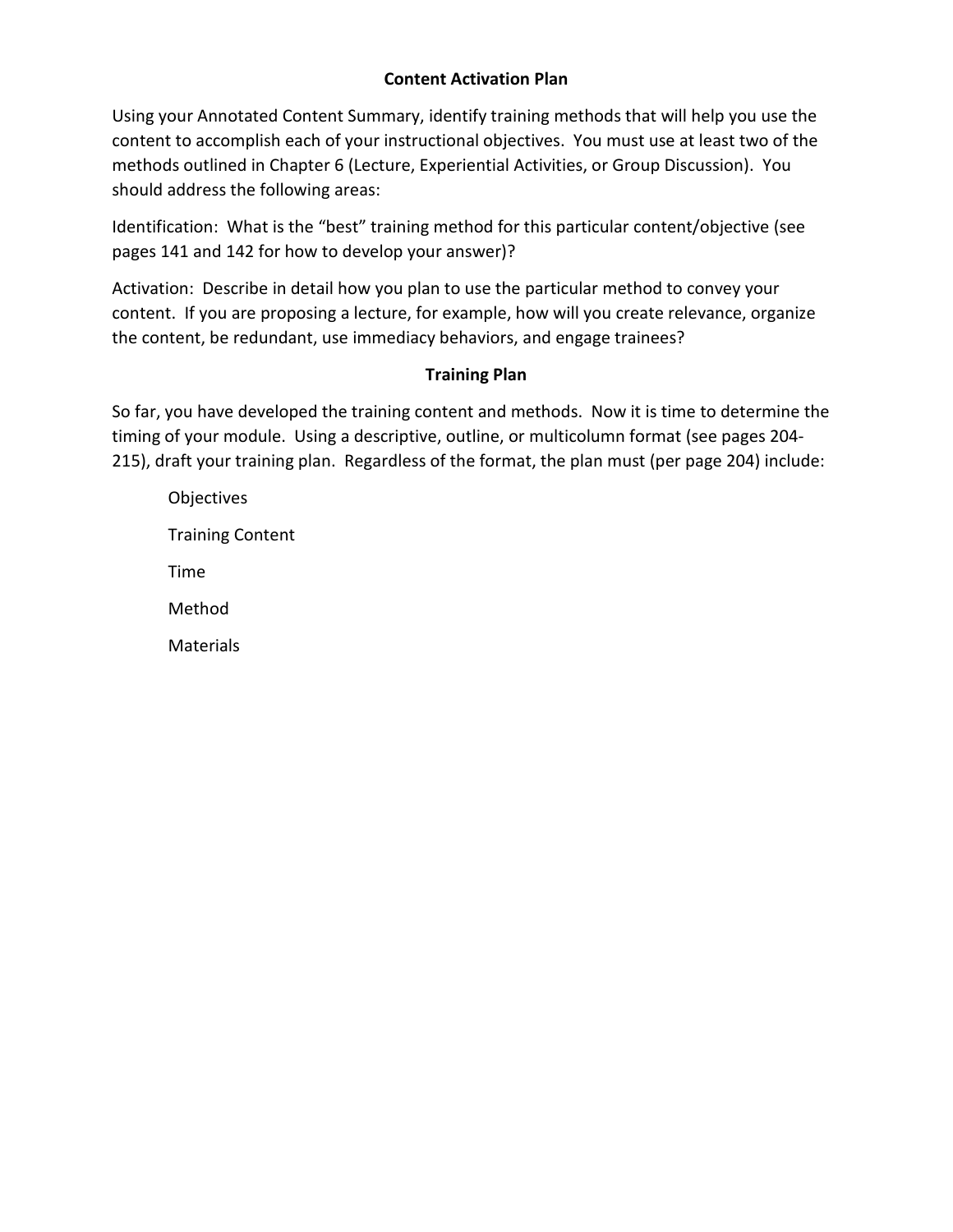## **Content Activation Plan**

Using your Annotated Content Summary, identify training methods that will help you use the content to accomplish each of your instructional objectives. You must use at least two of the methods outlined in Chapter 6 (Lecture, Experiential Activities, or Group Discussion). You should address the following areas:

Identification: What is the "best" training method for this particular content/objective (see pages 141 and 142 for how to develop your answer)?

Activation: Describe in detail how you plan to use the particular method to convey your content. If you are proposing a lecture, for example, how will you create relevance, organize the content, be redundant, use immediacy behaviors, and engage trainees?

## **Training Plan**

So far, you have developed the training content and methods. Now it is time to determine the timing of your module. Using a descriptive, outline, or multicolumn format (see pages 204- 215), draft your training plan. Regardless of the format, the plan must (per page 204) include:

| Objectives              |
|-------------------------|
| <b>Training Content</b> |
| Time                    |
| Method                  |
| <b>Materials</b>        |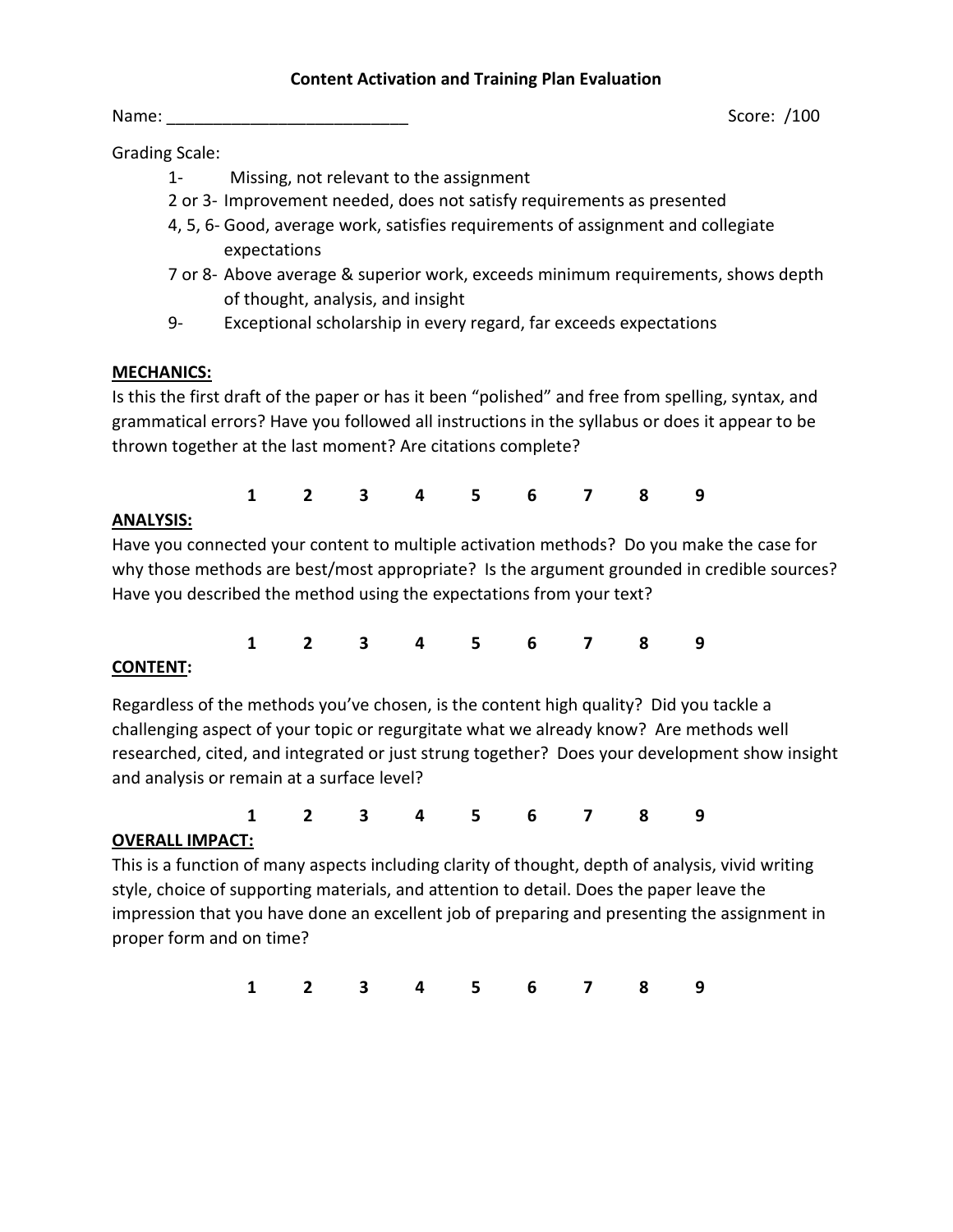#### **Content Activation and Training Plan Evaluation**

Grading Scale:

- 1- Missing, not relevant to the assignment
- 2 or 3- Improvement needed, does not satisfy requirements as presented
- 4, 5, 6- Good, average work, satisfies requirements of assignment and collegiate expectations
- 7 or 8- Above average & superior work, exceeds minimum requirements, shows depth of thought, analysis, and insight
- 9- Exceptional scholarship in every regard, far exceeds expectations

# **MECHANICS:**

Is this the first draft of the paper or has it been "polished" and free from spelling, syntax, and grammatical errors? Have you followed all instructions in the syllabus or does it appear to be thrown together at the last moment? Are citations complete?

|         | 1 2 3 4 5 6 7 8 9 |  |  |  |  |
|---------|-------------------|--|--|--|--|
| I VCIC. |                   |  |  |  |  |

# **ANALYSIS:**

Have you connected your content to multiple activation methods? Do you make the case for why those methods are best/most appropriate? Is the argument grounded in credible sources? Have you described the method using the expectations from your text?

**1 2 3 4 5 6 7 8 9**

# **CONTENT:**

Regardless of the methods you've chosen, is the content high quality? Did you tackle a challenging aspect of your topic or regurgitate what we already know? Are methods well researched, cited, and integrated or just strung together? Does your development show insight and analysis or remain at a surface level?

**1 2 3 4 5 6 7 8 9**

### **OVERALL IMPACT:**

This is a function of many aspects including clarity of thought, depth of analysis, vivid writing style, choice of supporting materials, and attention to detail. Does the paper leave the impression that you have done an excellent job of preparing and presenting the assignment in proper form and on time?

**1 2 3 4 5 6 7 8 9**

Name: 2008 and 2008 and 2008 and 2008 and 2008 and 2008 and 2008 and 2008 and 2008 and 2008 and 2008 and 2008 and 2008 and 2008 and 2008 and 2008 and 2008 and 2008 and 2008 and 2008 and 2008 and 2008 and 2008 and 2008 and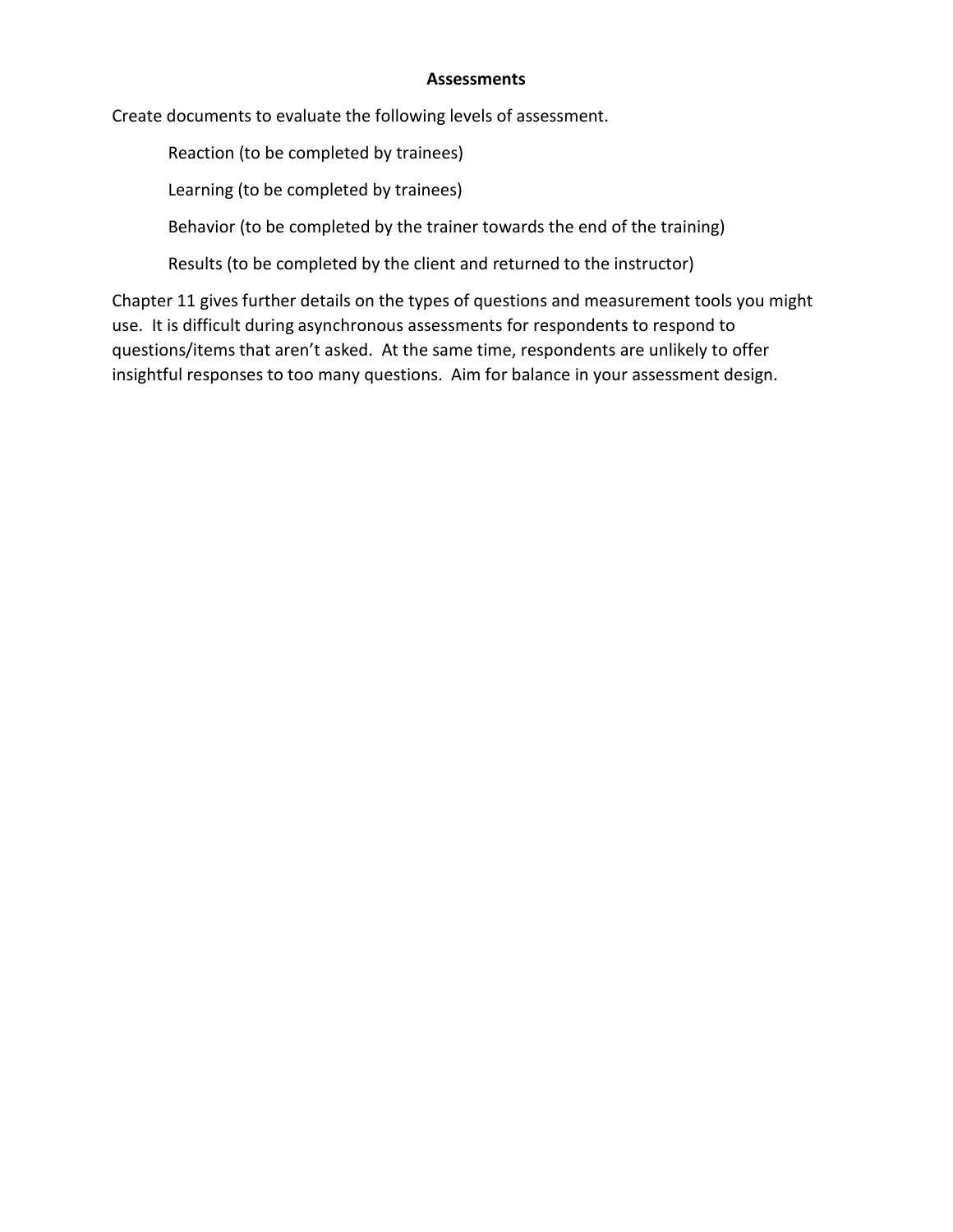#### **Assessments**

Create documents to evaluate the following levels of assessment.

Reaction (to be completed by trainees)

Learning (to be completed by trainees)

Behavior (to be completed by the trainer towards the end of the training)

Results (to be completed by the client and returned to the instructor)

Chapter 11 gives further details on the types of questions and measurement tools you might use. It is difficult during asynchronous assessments for respondents to respond to questions/items that aren't asked. At the same time, respondents are unlikely to offer insightful responses to too many questions. Aim for balance in your assessment design.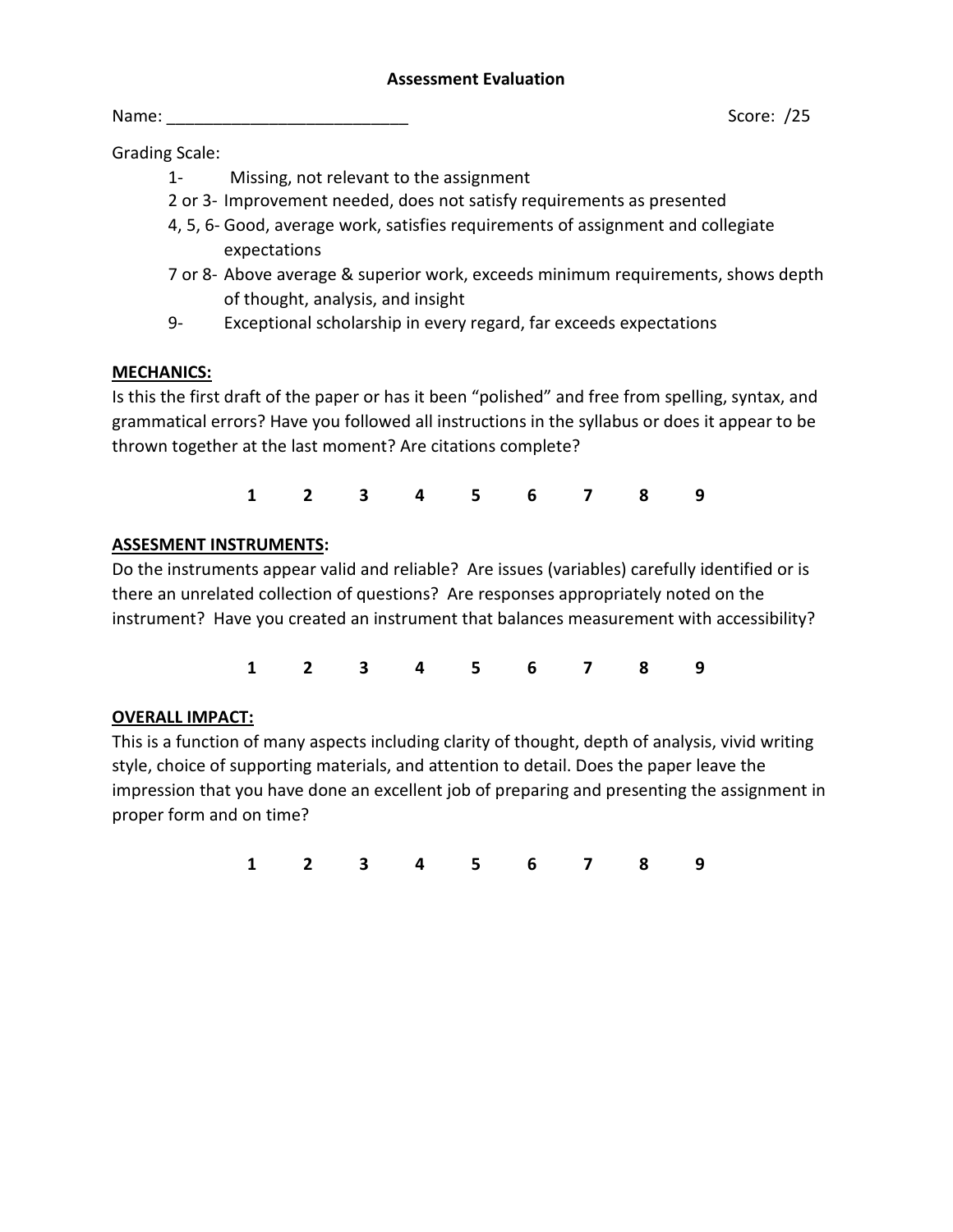Name: \_\_\_\_\_\_\_\_\_\_\_\_\_\_\_\_\_\_\_\_\_\_\_\_\_\_ Score: /25

Grading Scale:

- 1- Missing, not relevant to the assignment
- 2 or 3- Improvement needed, does not satisfy requirements as presented
- 4, 5, 6- Good, average work, satisfies requirements of assignment and collegiate expectations
- 7 or 8- Above average & superior work, exceeds minimum requirements, shows depth of thought, analysis, and insight
- 9- Exceptional scholarship in every regard, far exceeds expectations

# **MECHANICS:**

Is this the first draft of the paper or has it been "polished" and free from spelling, syntax, and grammatical errors? Have you followed all instructions in the syllabus or does it appear to be thrown together at the last moment? Are citations complete?

**1 2 3 4 5 6 7 8 9**

# **ASSESMENT INSTRUMENTS:**

Do the instruments appear valid and reliable? Are issues (variables) carefully identified or is there an unrelated collection of questions? Are responses appropriately noted on the instrument? Have you created an instrument that balances measurement with accessibility?

**1 2 3 4 5 6 7 8 9**

# **OVERALL IMPACT:**

This is a function of many aspects including clarity of thought, depth of analysis, vivid writing style, choice of supporting materials, and attention to detail. Does the paper leave the impression that you have done an excellent job of preparing and presenting the assignment in proper form and on time?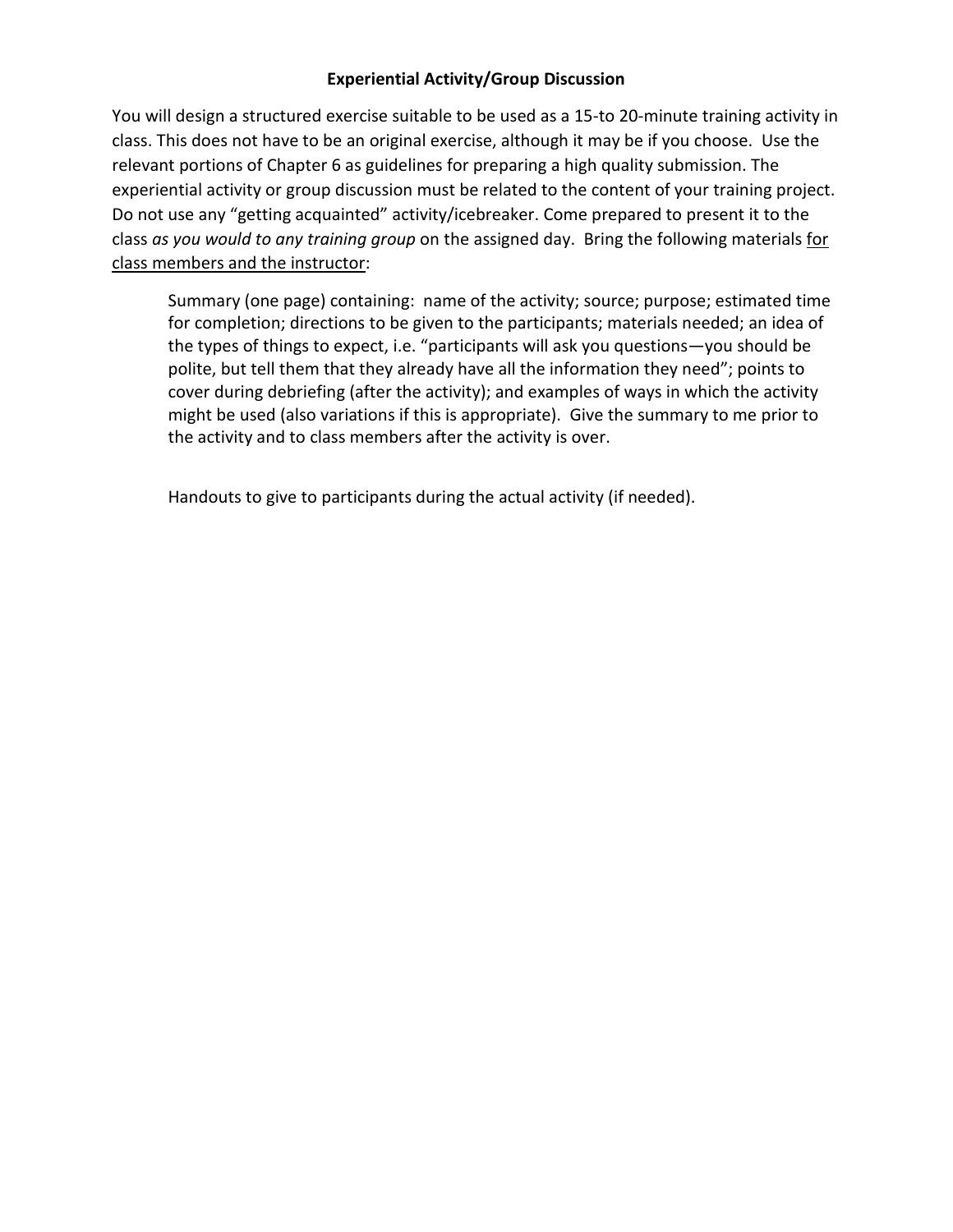## **Experiential Activity/Group Discussion**

You will design a structured exercise suitable to be used as a 15-to 20-minute training activity in class. This does not have to be an original exercise, although it may be if you choose. Use the relevant portions of Chapter 6 as guidelines for preparing a high quality submission. The experiential activity or group discussion must be related to the content of your training project. Do not use any "getting acquainted" activity/icebreaker. Come prepared to present it to the class *as you would to any training group* on the assigned day. Bring the following materials for class members and the instructor:

Summary (one page) containing: name of the activity; source; purpose; estimated time for completion; directions to be given to the participants; materials needed; an idea of the types of things to expect, i.e. "participants will ask you questions—you should be polite, but tell them that they already have all the information they need"; points to cover during debriefing (after the activity); and examples of ways in which the activity might be used (also variations if this is appropriate). Give the summary to me prior to the activity and to class members after the activity is over.

Handouts to give to participants during the actual activity (if needed).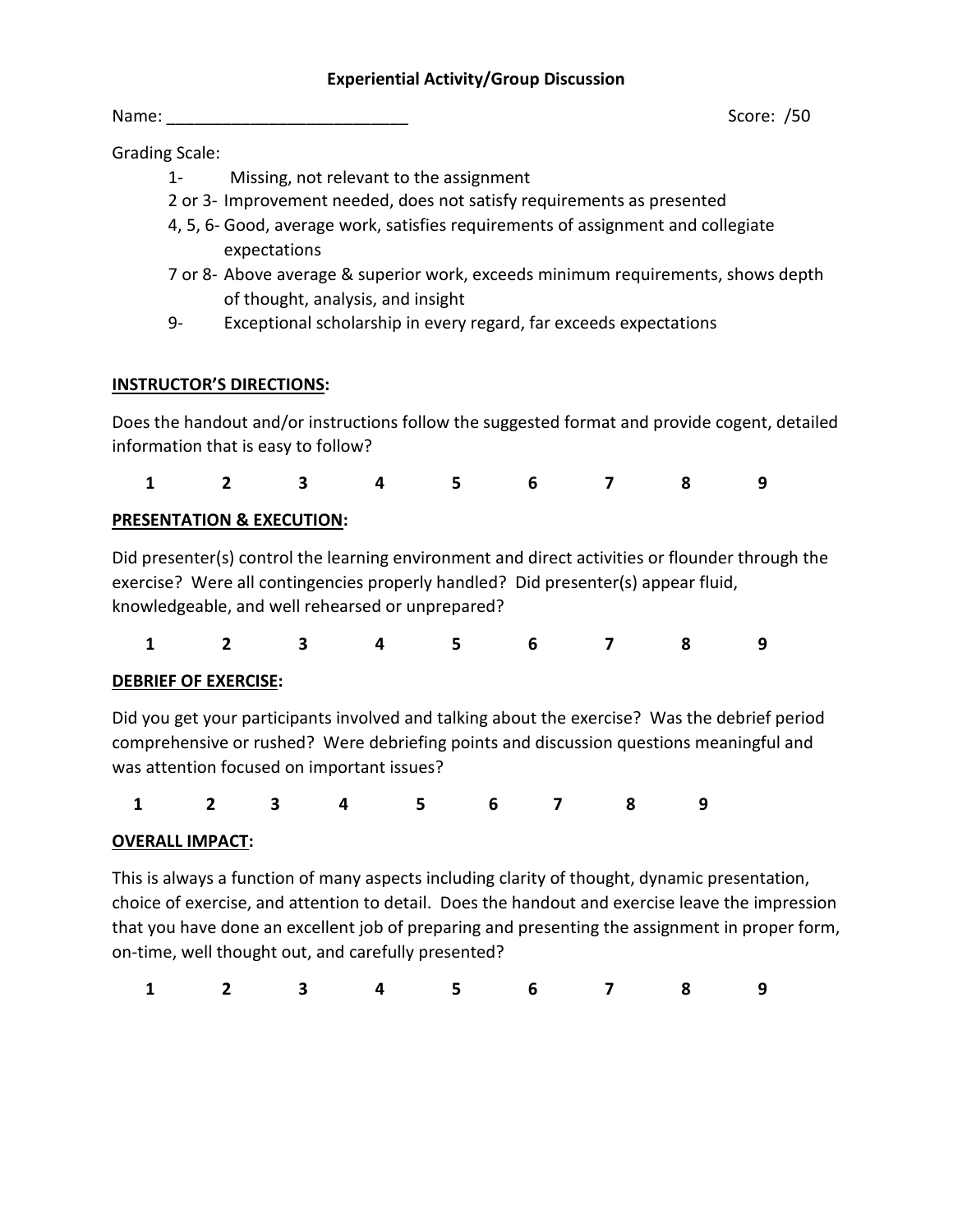#### **Experiential Activity/Group Discussion**

Name: \_\_\_\_\_\_\_\_\_\_\_\_\_\_\_\_\_\_\_\_\_\_\_\_\_\_ Score: /50

Grading Scale:

- 1- Missing, not relevant to the assignment
- 2 or 3- Improvement needed, does not satisfy requirements as presented
- 4, 5, 6- Good, average work, satisfies requirements of assignment and collegiate expectations
- 7 or 8- Above average & superior work, exceeds minimum requirements, shows depth of thought, analysis, and insight
- 9- Exceptional scholarship in every regard, far exceeds expectations

## **INSTRUCTOR'S DIRECTIONS:**

Does the handout and/or instructions follow the suggested format and provide cogent, detailed information that is easy to follow?

|  |  |  | 1 2 3 4 5 6 7 8 9 |  |
|--|--|--|-------------------|--|
|  |  |  |                   |  |

# **PRESENTATION & EXECUTION:**

Did presenter(s) control the learning environment and direct activities or flounder through the exercise? Were all contingencies properly handled? Did presenter(s) appear fluid, knowledgeable, and well rehearsed or unprepared?

**1 2 3 4 5 6 7 8 9**

#### **DEBRIEF OF EXERCISE:**

Did you get your participants involved and talking about the exercise? Was the debrief period comprehensive or rushed? Were debriefing points and discussion questions meaningful and was attention focused on important issues?

|  |  |  | 1 2 3 4 5 6 7 8 9 |  |
|--|--|--|-------------------|--|
|  |  |  |                   |  |

# **OVERALL IMPACT:**

This is always a function of many aspects including clarity of thought, dynamic presentation, choice of exercise, and attention to detail. Does the handout and exercise leave the impression that you have done an excellent job of preparing and presenting the assignment in proper form, on-time, well thought out, and carefully presented?

|  |  |  | 1 2 3 4 5 6 7 8 9 |  |
|--|--|--|-------------------|--|
|  |  |  |                   |  |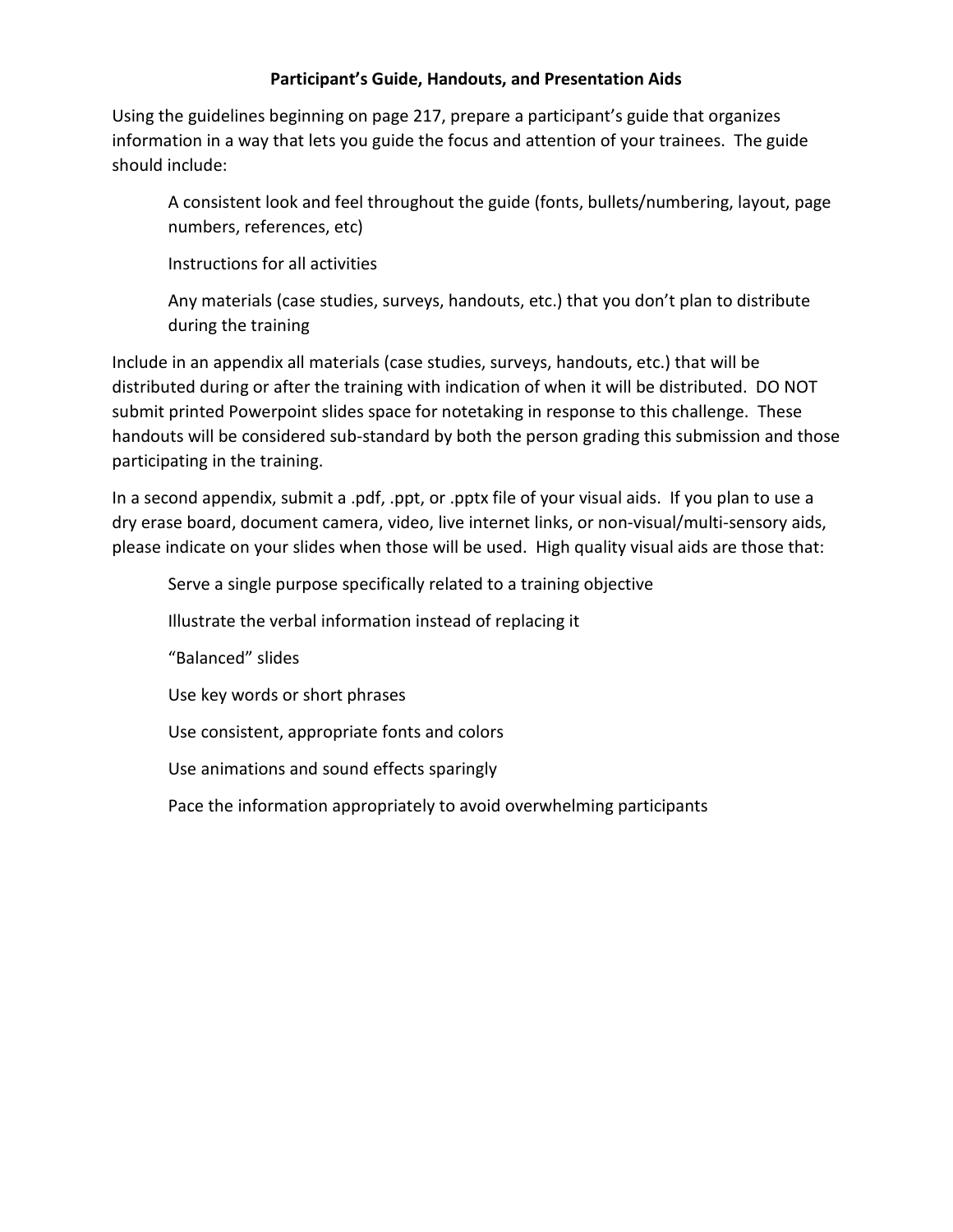### **Participant's Guide, Handouts, and Presentation Aids**

Using the guidelines beginning on page 217, prepare a participant's guide that organizes information in a way that lets you guide the focus and attention of your trainees. The guide should include:

A consistent look and feel throughout the guide (fonts, bullets/numbering, layout, page numbers, references, etc)

Instructions for all activities

Any materials (case studies, surveys, handouts, etc.) that you don't plan to distribute during the training

Include in an appendix all materials (case studies, surveys, handouts, etc.) that will be distributed during or after the training with indication of when it will be distributed. DO NOT submit printed Powerpoint slides space for notetaking in response to this challenge. These handouts will be considered sub-standard by both the person grading this submission and those participating in the training.

In a second appendix, submit a .pdf, .ppt, or .pptx file of your visual aids. If you plan to use a dry erase board, document camera, video, live internet links, or non-visual/multi-sensory aids, please indicate on your slides when those will be used. High quality visual aids are those that:

Serve a single purpose specifically related to a training objective Illustrate the verbal information instead of replacing it "Balanced" slides Use key words or short phrases Use consistent, appropriate fonts and colors Use animations and sound effects sparingly Pace the information appropriately to avoid overwhelming participants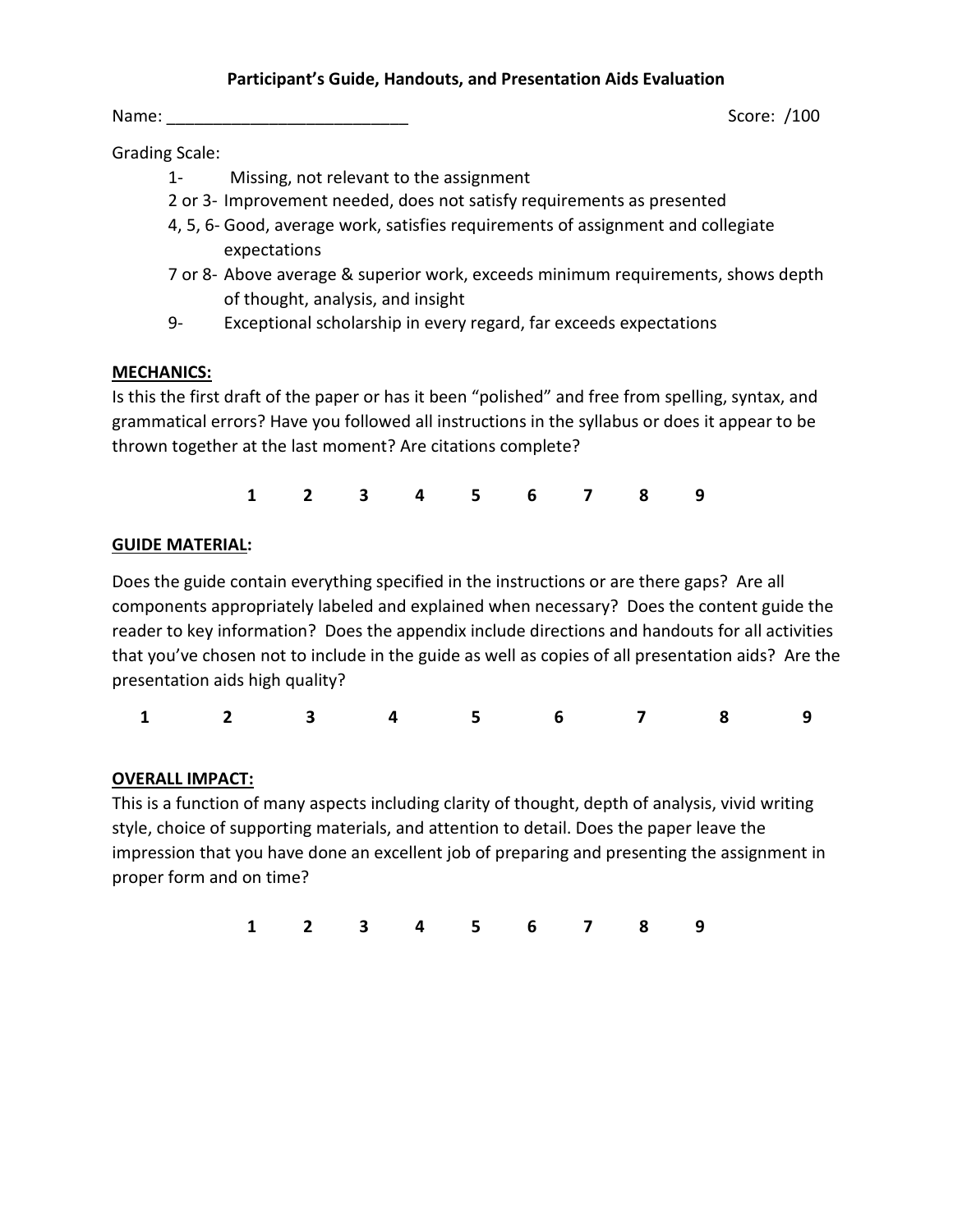#### **Participant's Guide, Handouts, and Presentation Aids Evaluation**

Name: Score: /100

Grading Scale:

- 1- Missing, not relevant to the assignment
- 2 or 3- Improvement needed, does not satisfy requirements as presented
- 4, 5, 6- Good, average work, satisfies requirements of assignment and collegiate expectations
- 7 or 8- Above average & superior work, exceeds minimum requirements, shows depth of thought, analysis, and insight
- 9- Exceptional scholarship in every regard, far exceeds expectations

## **MECHANICS:**

Is this the first draft of the paper or has it been "polished" and free from spelling, syntax, and grammatical errors? Have you followed all instructions in the syllabus or does it appear to be thrown together at the last moment? Are citations complete?

**1 2 3 4 5 6 7 8 9**

## **GUIDE MATERIAL:**

Does the guide contain everything specified in the instructions or are there gaps? Are all components appropriately labeled and explained when necessary? Does the content guide the reader to key information? Does the appendix include directions and handouts for all activities that you've chosen not to include in the guide as well as copies of all presentation aids? Are the presentation aids high quality?

| 1 2 3 4 5 6 7 8 9 |  |  |  |  |  |  |  |  |  |  |
|-------------------|--|--|--|--|--|--|--|--|--|--|
|-------------------|--|--|--|--|--|--|--|--|--|--|

# **OVERALL IMPACT:**

This is a function of many aspects including clarity of thought, depth of analysis, vivid writing style, choice of supporting materials, and attention to detail. Does the paper leave the impression that you have done an excellent job of preparing and presenting the assignment in proper form and on time?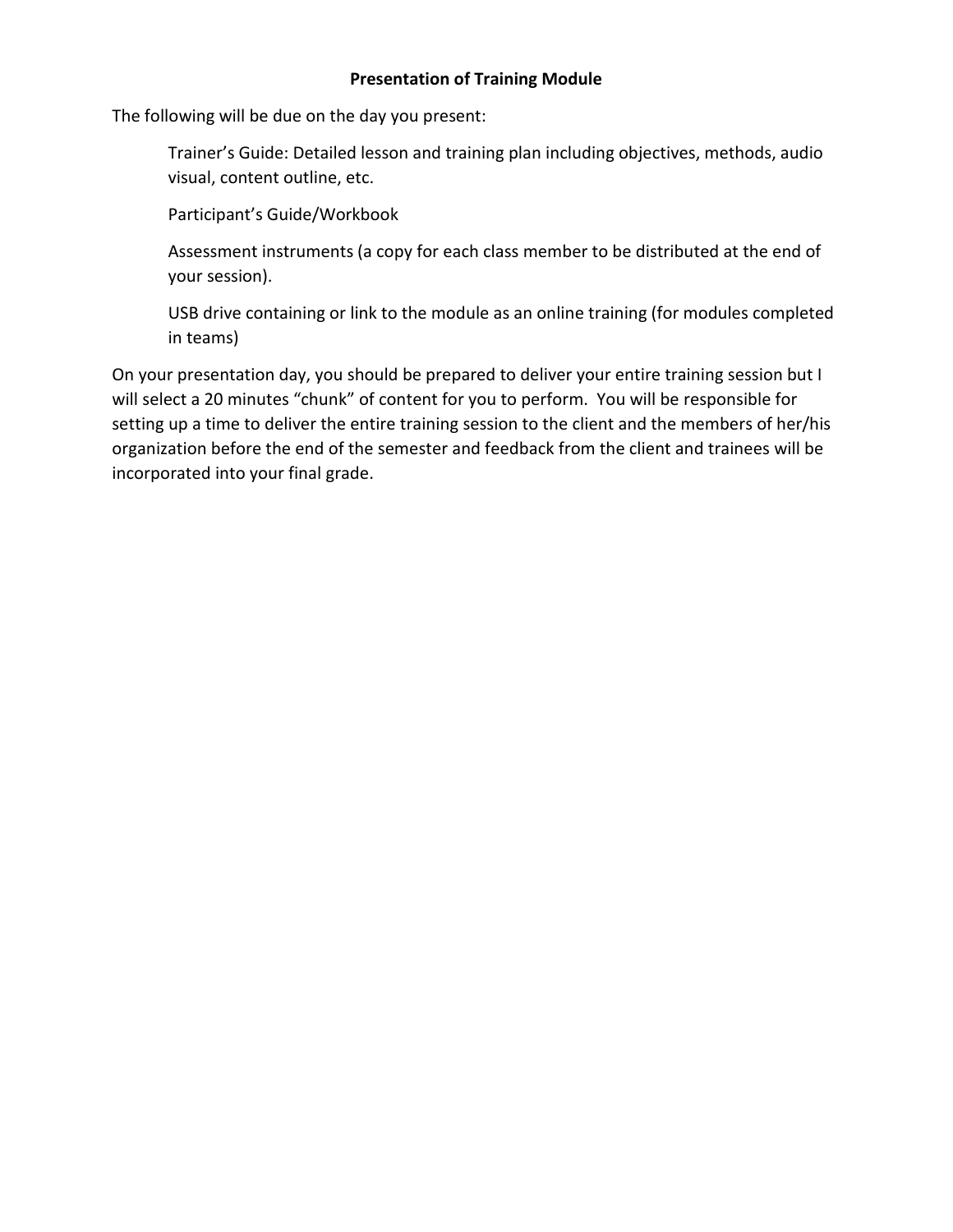#### **Presentation of Training Module**

The following will be due on the day you present:

Trainer's Guide: Detailed lesson and training plan including objectives, methods, audio visual, content outline, etc.

Participant's Guide/Workbook

Assessment instruments (a copy for each class member to be distributed at the end of your session).

USB drive containing or link to the module as an online training (for modules completed in teams)

On your presentation day, you should be prepared to deliver your entire training session but I will select a 20 minutes "chunk" of content for you to perform. You will be responsible for setting up a time to deliver the entire training session to the client and the members of her/his organization before the end of the semester and feedback from the client and trainees will be incorporated into your final grade.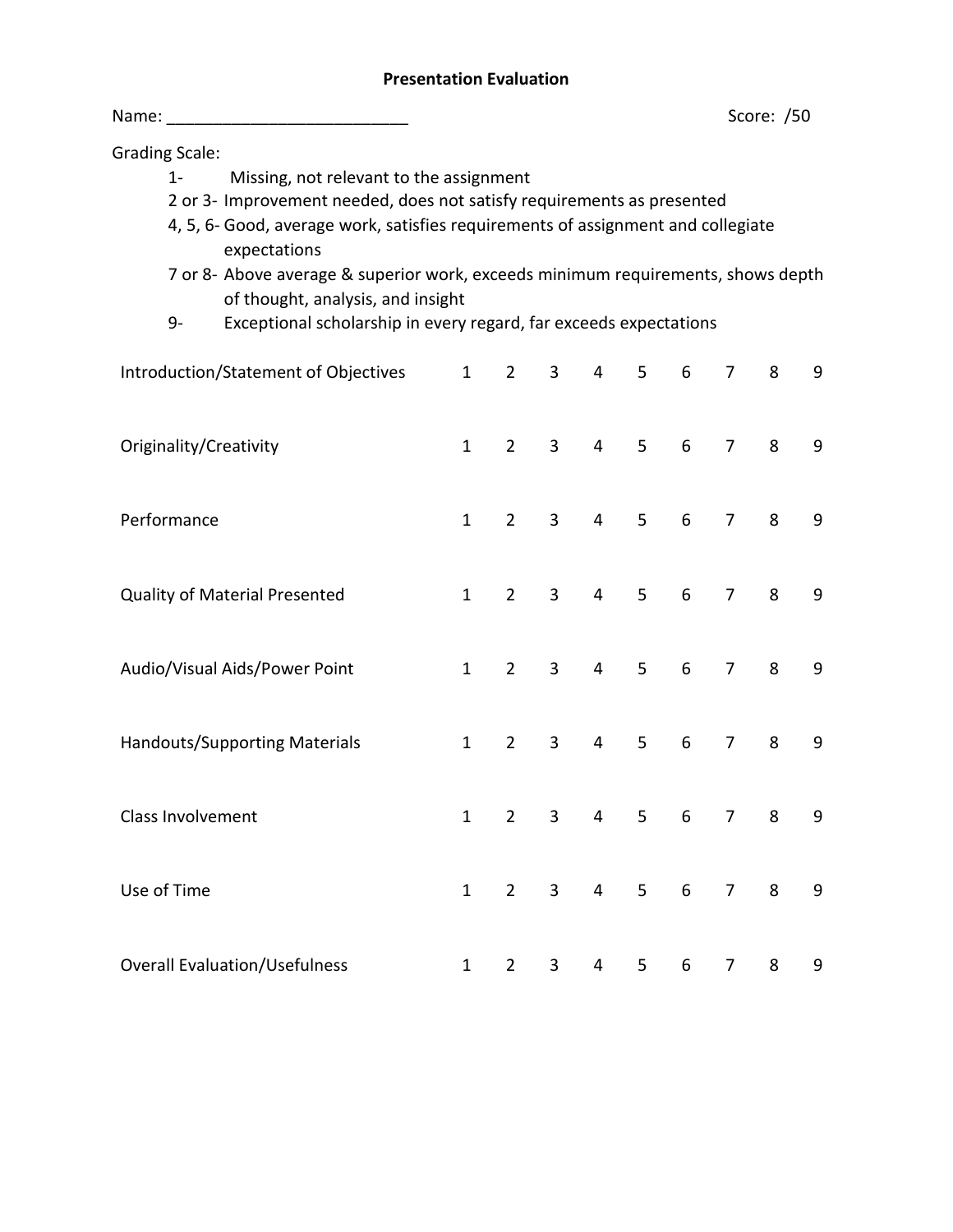## **Presentation Evaluation**

| Name: ________________________                                                                                                                                                                                                                                                                                                                                                                                                                           |              |                |   |                |   |   |                | Score: /50 |   |
|----------------------------------------------------------------------------------------------------------------------------------------------------------------------------------------------------------------------------------------------------------------------------------------------------------------------------------------------------------------------------------------------------------------------------------------------------------|--------------|----------------|---|----------------|---|---|----------------|------------|---|
| <b>Grading Scale:</b><br>Missing, not relevant to the assignment<br>1-<br>2 or 3- Improvement needed, does not satisfy requirements as presented<br>4, 5, 6- Good, average work, satisfies requirements of assignment and collegiate<br>expectations<br>7 or 8- Above average & superior work, exceeds minimum requirements, shows depth<br>of thought, analysis, and insight<br>Exceptional scholarship in every regard, far exceeds expectations<br>9- |              |                |   |                |   |   |                |            |   |
| Introduction/Statement of Objectives                                                                                                                                                                                                                                                                                                                                                                                                                     | $\mathbf{1}$ | $\overline{2}$ | 3 | 4              | 5 | 6 | $\overline{7}$ | 8          | 9 |
| Originality/Creativity                                                                                                                                                                                                                                                                                                                                                                                                                                   | $\mathbf{1}$ | $\overline{2}$ | 3 | $\overline{4}$ | 5 | 6 | $\overline{7}$ | 8          | 9 |
| Performance                                                                                                                                                                                                                                                                                                                                                                                                                                              | $\mathbf{1}$ | $2^{\circ}$    | 3 | 4              | 5 | 6 | $\overline{7}$ | 8          | 9 |
| <b>Quality of Material Presented</b>                                                                                                                                                                                                                                                                                                                                                                                                                     | $\mathbf{1}$ | $\overline{2}$ | 3 | $\overline{4}$ | 5 | 6 | $\overline{7}$ | 8          | 9 |
| Audio/Visual Aids/Power Point                                                                                                                                                                                                                                                                                                                                                                                                                            | $\mathbf{1}$ | $\overline{2}$ | 3 | 4              | 5 | 6 | $\overline{7}$ | 8          | 9 |
| <b>Handouts/Supporting Materials</b>                                                                                                                                                                                                                                                                                                                                                                                                                     | $\mathbf{1}$ | $\overline{2}$ | 3 | 4              | 5 | 6 | $\overline{7}$ | 8          | 9 |
| Class Involvement                                                                                                                                                                                                                                                                                                                                                                                                                                        | $\mathbf{1}$ | $\overline{2}$ | 3 | 4              | 5 | 6 | 7              | 8          | 9 |
| Use of Time                                                                                                                                                                                                                                                                                                                                                                                                                                              | $\mathbf{1}$ | $2^{\circ}$    | 3 | 4              | 5 | 6 | $\overline{7}$ | 8          | 9 |
| <b>Overall Evaluation/Usefulness</b>                                                                                                                                                                                                                                                                                                                                                                                                                     | $\mathbf{1}$ | $2^{\circ}$    | 3 | 4              | 5 | 6 | 7              | 8          | 9 |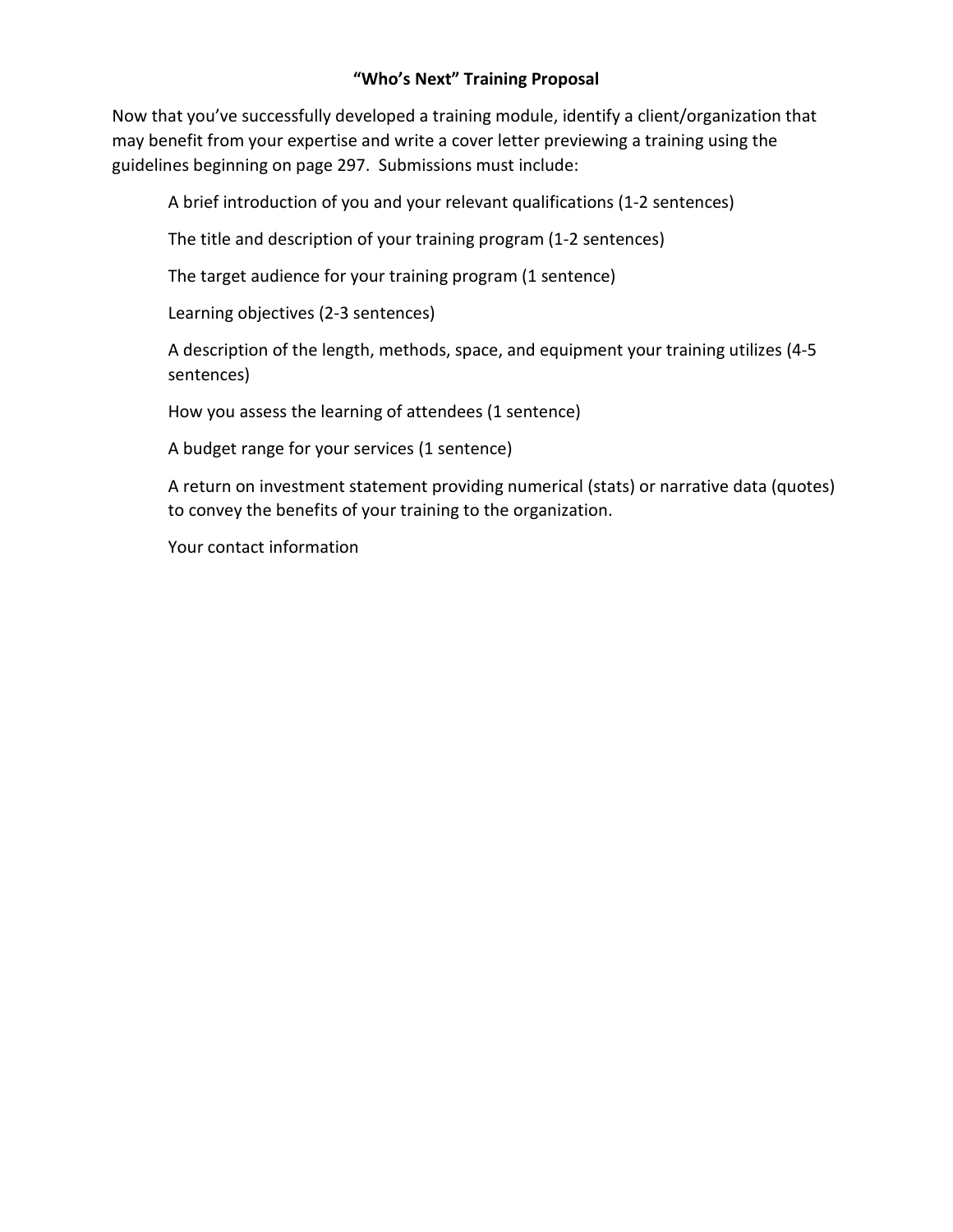## **"Who's Next" Training Proposal**

Now that you've successfully developed a training module, identify a client/organization that may benefit from your expertise and write a cover letter previewing a training using the guidelines beginning on page 297. Submissions must include:

A brief introduction of you and your relevant qualifications (1-2 sentences)

The title and description of your training program (1-2 sentences)

The target audience for your training program (1 sentence)

Learning objectives (2-3 sentences)

A description of the length, methods, space, and equipment your training utilizes (4-5 sentences)

How you assess the learning of attendees (1 sentence)

A budget range for your services (1 sentence)

A return on investment statement providing numerical (stats) or narrative data (quotes) to convey the benefits of your training to the organization.

Your contact information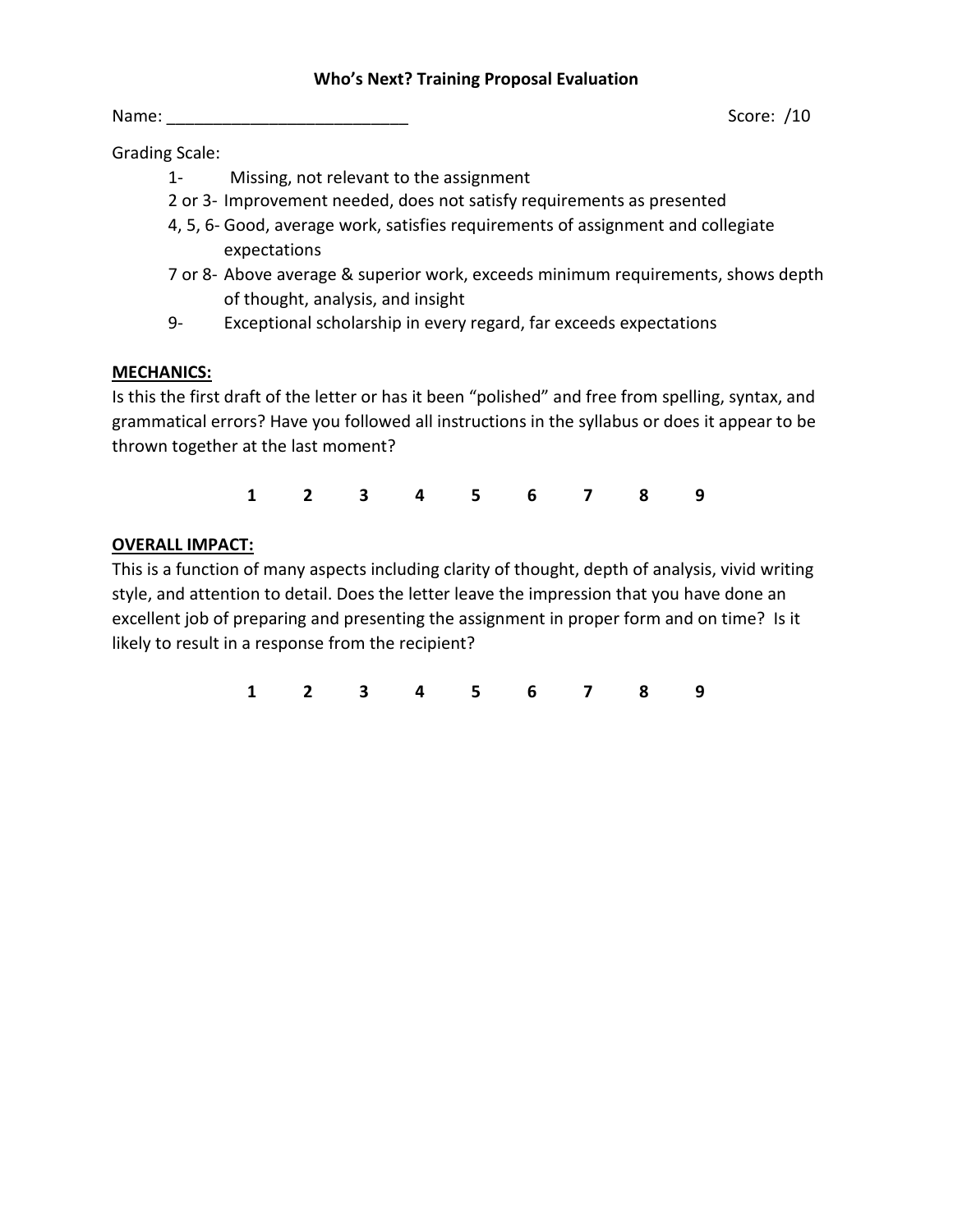#### **Who's Next? Training Proposal Evaluation**

Grading Scale:

- 1- Missing, not relevant to the assignment
- 2 or 3- Improvement needed, does not satisfy requirements as presented
- 4, 5, 6- Good, average work, satisfies requirements of assignment and collegiate expectations
- 7 or 8- Above average & superior work, exceeds minimum requirements, shows depth of thought, analysis, and insight
- 9- Exceptional scholarship in every regard, far exceeds expectations

## **MECHANICS:**

Is this the first draft of the letter or has it been "polished" and free from spelling, syntax, and grammatical errors? Have you followed all instructions in the syllabus or does it appear to be thrown together at the last moment?

**1 2 3 4 5 6 7 8 9**

## **OVERALL IMPACT:**

This is a function of many aspects including clarity of thought, depth of analysis, vivid writing style, and attention to detail. Does the letter leave the impression that you have done an excellent job of preparing and presenting the assignment in proper form and on time? Is it likely to result in a response from the recipient?